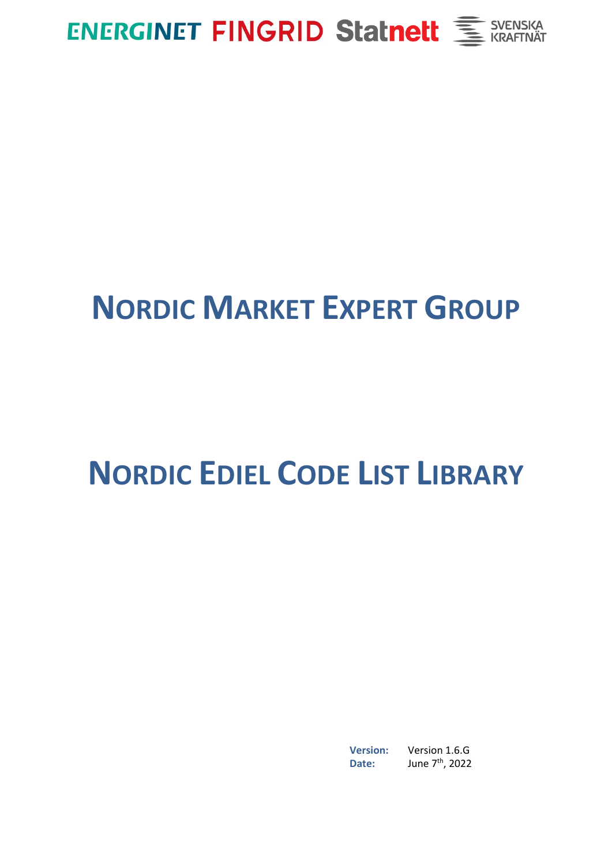

# **NORDIC MARKET EXPERT GROUP**

# **NORDIC EDIEL CODE LIST LIBRARY**

**Version:** Version 1.6.G Date: June 7<sup>th</sup>, 2022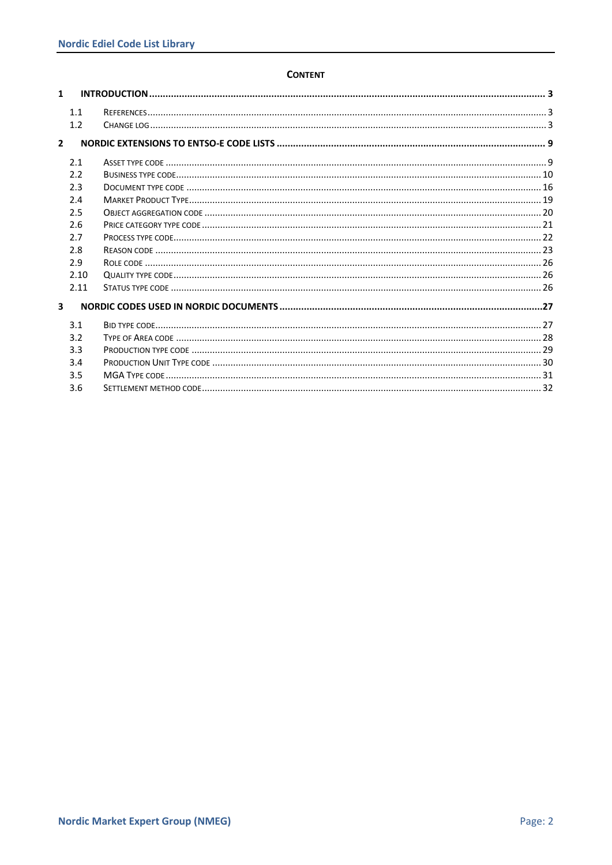### **CONTENT**

| $\mathbf{1}$            |      |  |  |  |  |  |
|-------------------------|------|--|--|--|--|--|
|                         | 1.1  |  |  |  |  |  |
|                         | 1.2  |  |  |  |  |  |
| $\overline{2}$          |      |  |  |  |  |  |
|                         | 2.1  |  |  |  |  |  |
|                         | 2.2  |  |  |  |  |  |
|                         | 2.3  |  |  |  |  |  |
|                         | 2.4  |  |  |  |  |  |
|                         | 2.5  |  |  |  |  |  |
|                         | 2.6  |  |  |  |  |  |
|                         | 2.7  |  |  |  |  |  |
|                         | 2.8  |  |  |  |  |  |
|                         | 2.9  |  |  |  |  |  |
|                         | 2.10 |  |  |  |  |  |
|                         | 2.11 |  |  |  |  |  |
| $\overline{\mathbf{3}}$ |      |  |  |  |  |  |
|                         | 3.1  |  |  |  |  |  |
|                         | 3.2  |  |  |  |  |  |
|                         | 3.3  |  |  |  |  |  |
|                         | 3.4  |  |  |  |  |  |
|                         | 3.5  |  |  |  |  |  |
|                         | 3.6  |  |  |  |  |  |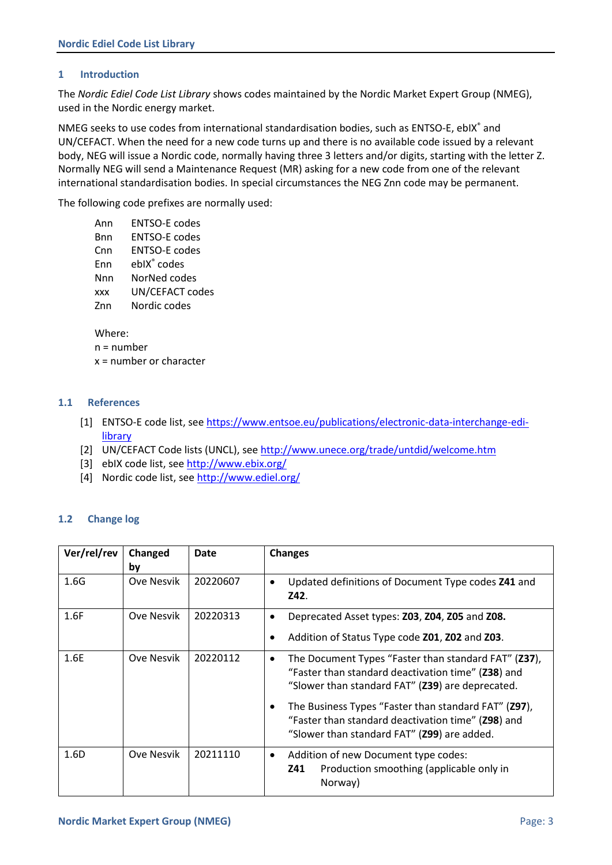#### <span id="page-2-0"></span>**1 Introduction**

The *Nordic Ediel Code List Library* shows codes maintained by the Nordic Market Expert Group (NMEG), used in the Nordic energy market.

NMEG seeks to use codes from international standardisation bodies, such as ENTSO-E, ebIX<sup>®</sup> and UN/CEFACT. When the need for a new code turns up and there is no available code issued by a relevant body, NEG will issue a Nordic code, normally having three 3 letters and/or digits, starting with the letter Z. Normally NEG will send a Maintenance Request (MR) asking for a new code from one of the relevant international standardisation bodies. In special circumstances the NEG Znn code may be permanent.

The following code prefixes are normally used:

| Ann        | <b>ENTSO-E codes</b>    |
|------------|-------------------------|
| Bnn        | <b>ENTSO-E</b> codes    |
| Cnn        | <b>ENTSO-E codes</b>    |
| Enn        | ebIX <sup>®</sup> codes |
| Nnn        | NorNed codes            |
| <b>XXX</b> | UN/CEFACT codes         |
| 7nn        | Nordic codes            |
|            |                         |

Where:

n = number

x = number or character

#### <span id="page-2-1"></span>**1.1 References**

- [1] ENTSO-E code list, see [https://www.entsoe.eu/publications/electronic-data-interchange-edi](https://www.entsoe.eu/publications/electronic-data-interchange-edi-library)**[library](https://www.entsoe.eu/publications/electronic-data-interchange-edi-library)**
- [2] UN/CEFACT Code lists (UNCL), se[e http://www.unece.org/trade/untdid/welcome.htm](http://www.unece.org/trade/untdid/welcome.htm)
- [3] ebIX code list, se[e http://www.ebix.org/](http://www.ebix.org/)
- [4] Nordic code list, se[e http://www.ediel.org/](http://www.ediel.org/)

#### <span id="page-2-2"></span>**1.2 Change log**

| Ver/rel/rev | Changed<br>by | Date     | <b>Changes</b>                                                                                                                                                              |
|-------------|---------------|----------|-----------------------------------------------------------------------------------------------------------------------------------------------------------------------------|
| 1.6G        | Ove Nesvik    | 20220607 | Updated definitions of Document Type codes Z41 and<br>$\bullet$<br>Z42.                                                                                                     |
| 1.6F        | Ove Nesvik    | 20220313 | Deprecated Asset types: Z03, Z04, Z05 and Z08.<br>$\bullet$<br>Addition of Status Type code Z01, Z02 and Z03.                                                               |
| 1.6E        | Ove Nesvik    | 20220112 | The Document Types "Faster than standard FAT" (Z37),<br>$\bullet$<br>"Faster than standard deactivation time" (Z38) and<br>"Slower than standard FAT" (239) are deprecated. |
|             |               |          | The Business Types "Faster than standard FAT" (297),<br>"Faster than standard deactivation time" (Z98) and<br>"Slower than standard FAT" (299) are added.                   |
| 1.6D        | Ove Nesvik    | 20211110 | Addition of new Document type codes:<br>٠<br>Production smoothing (applicable only in<br>Z41<br>Norway)                                                                     |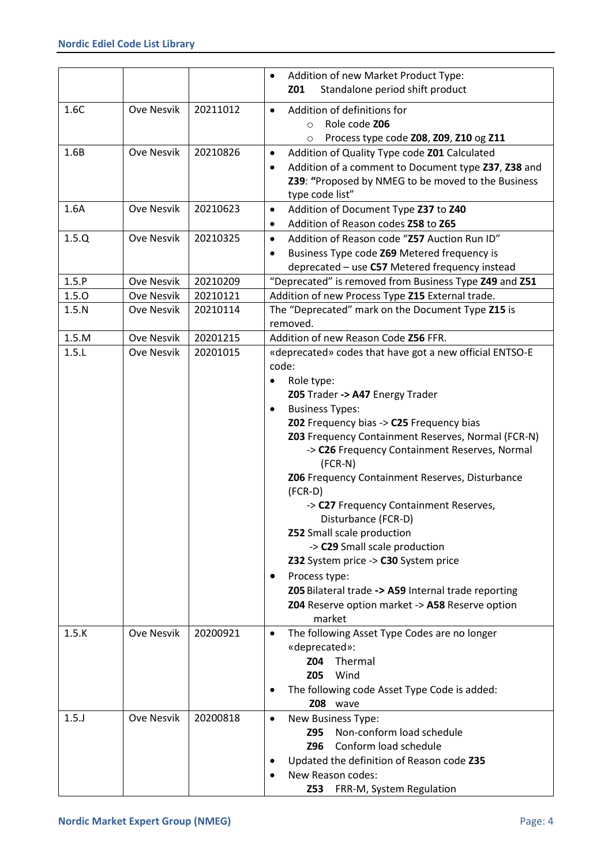|       |                   |          | Addition of new Market Product Type:<br>$\bullet$                                                                      |
|-------|-------------------|----------|------------------------------------------------------------------------------------------------------------------------|
|       |                   |          | Standalone period shift product<br>Z01                                                                                 |
| 1.6C  | <b>Ove Nesvik</b> | 20211012 | Addition of definitions for<br>$\bullet$                                                                               |
|       |                   |          | Role code Z06<br>$\circ$                                                                                               |
| 1.6B  | <b>Ove Nesvik</b> | 20210826 | Process type code Z08, Z09, Z10 og Z11<br>$\circ$                                                                      |
|       |                   |          | Addition of Quality Type code Z01 Calculated<br>$\bullet$                                                              |
|       |                   |          | Addition of a comment to Document type Z37, Z38 and<br>$\bullet$<br>Z39: "Proposed by NMEG to be moved to the Business |
|       |                   |          |                                                                                                                        |
| 1.6A  | <b>Ove Nesvik</b> | 20210623 | type code list"                                                                                                        |
|       |                   |          | Addition of Document Type Z37 to Z40<br>$\bullet$<br>Addition of Reason codes Z58 to Z65<br>$\bullet$                  |
| 1.5.Q | <b>Ove Nesvik</b> | 20210325 | Addition of Reason code "Z57 Auction Run ID"<br>$\bullet$                                                              |
|       |                   |          | Business Type code Z69 Metered frequency is<br>$\bullet$                                                               |
|       |                   |          | deprecated - use C57 Metered frequency instead                                                                         |
| 1.5.P | <b>Ove Nesvik</b> | 20210209 | "Deprecated" is removed from Business Type Z49 and Z51                                                                 |
| 1.5.0 | <b>Ove Nesvik</b> | 20210121 | Addition of new Process Type Z15 External trade.                                                                       |
| 1.5.N | <b>Ove Nesvik</b> | 20210114 | The "Deprecated" mark on the Document Type Z15 is                                                                      |
|       |                   |          | removed.                                                                                                               |
| 1.5.M | <b>Ove Nesvik</b> | 20201215 | Addition of new Reason Code Z56 FFR.                                                                                   |
| 1.5.L | <b>Ove Nesvik</b> | 20201015 | «deprecated» codes that have got a new official ENTSO-E                                                                |
|       |                   |          | code:                                                                                                                  |
|       |                   |          | Role type:<br>٠                                                                                                        |
|       |                   |          | Z05 Trader -> A47 Energy Trader                                                                                        |
|       |                   |          | <b>Business Types:</b><br>$\bullet$                                                                                    |
|       |                   |          | Z02 Frequency bias -> C25 Frequency bias                                                                               |
|       |                   |          | Z03 Frequency Containment Reserves, Normal (FCR-N)                                                                     |
|       |                   |          | -> C26 Frequency Containment Reserves, Normal                                                                          |
|       |                   |          | $(FCR-N)$                                                                                                              |
|       |                   |          | Z06 Frequency Containment Reserves, Disturbance                                                                        |
|       |                   |          | $(FCR-D)$                                                                                                              |
|       |                   |          | -> C27 Frequency Containment Reserves,                                                                                 |
|       |                   |          | Disturbance (FCR-D)                                                                                                    |
|       |                   |          | <b>Z52</b> Small scale production                                                                                      |
|       |                   |          | -> C29 Small scale production                                                                                          |
|       |                   |          | Z32 System price -> C30 System price                                                                                   |
|       |                   |          | Process type:<br>$\bullet$                                                                                             |
|       |                   |          | Z05 Bilateral trade -> A59 Internal trade reporting                                                                    |
|       |                   |          | Z04 Reserve option market -> A58 Reserve option                                                                        |
|       |                   |          | market                                                                                                                 |
| 1.5.K | <b>Ove Nesvik</b> | 20200921 | The following Asset Type Codes are no longer<br>$\bullet$                                                              |
|       |                   |          | «deprecated»:                                                                                                          |
|       |                   |          | <b>Z04</b> Thermal                                                                                                     |
|       |                   |          | Wind<br>Z05                                                                                                            |
|       |                   |          | The following code Asset Type Code is added:                                                                           |
|       |                   |          | Z08 wave                                                                                                               |
| 1.5.  | <b>Ove Nesvik</b> | 20200818 | New Business Type:<br>$\bullet$                                                                                        |
|       |                   |          | Non-conform load schedule<br>Z95                                                                                       |
|       |                   |          | Conform load schedule<br>Z96                                                                                           |
|       |                   |          | Updated the definition of Reason code Z35                                                                              |
|       |                   |          | New Reason codes:                                                                                                      |
|       |                   |          | FRR-M, System Regulation<br>Z53                                                                                        |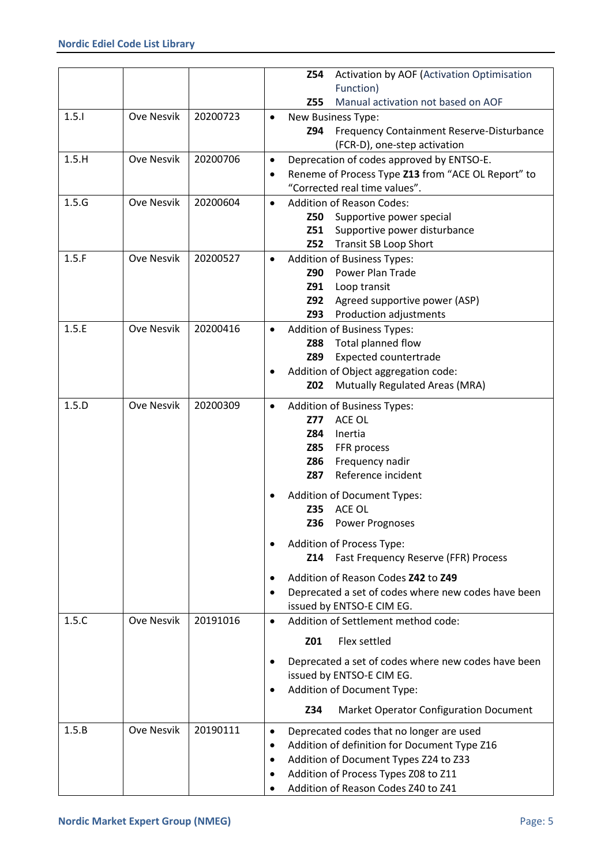|       |                   |          | Activation by AOF (Activation Optimisation<br><b>Z54</b>        |
|-------|-------------------|----------|-----------------------------------------------------------------|
|       |                   |          | Function)                                                       |
|       |                   |          | Manual activation not based on AOF<br>Z55                       |
| 1.5.1 | <b>Ove Nesvik</b> | 20200723 | New Business Type:<br>$\bullet$                                 |
|       |                   |          | Frequency Containment Reserve-Disturbance<br>Z94                |
| 1.5.H | <b>Ove Nesvik</b> | 20200706 | (FCR-D), one-step activation                                    |
|       |                   |          | Deprecation of codes approved by ENTSO-E.<br>$\bullet$          |
|       |                   |          | Reneme of Process Type Z13 from "ACE OL Report" to<br>$\bullet$ |
|       |                   |          | "Corrected real time values".                                   |
| 1.5.G | <b>Ove Nesvik</b> | 20200604 | <b>Addition of Reason Codes:</b><br>$\bullet$                   |
|       |                   |          | Supportive power special<br><b>Z50</b>                          |
|       |                   |          | Supportive power disturbance<br>Z51                             |
|       |                   |          | <b>Transit SB Loop Short</b><br><b>Z52</b>                      |
| 1.5.F | <b>Ove Nesvik</b> | 20200527 | <b>Addition of Business Types:</b><br>$\bullet$                 |
|       |                   |          | <b>Power Plan Trade</b><br><b>Z90</b>                           |
|       |                   |          | <b>Z91</b><br>Loop transit                                      |
|       |                   |          | Agreed supportive power (ASP)<br><b>Z92</b>                     |
|       |                   | 20200416 | Production adjustments<br><b>Z93</b>                            |
| 1.5.E | <b>Ove Nesvik</b> |          | <b>Addition of Business Types:</b><br>$\bullet$                 |
|       |                   |          | Total planned flow<br><b>Z88</b>                                |
|       |                   |          | <b>Expected countertrade</b><br>Z89                             |
|       |                   |          | Addition of Object aggregation code:                            |
|       |                   |          | Mutually Regulated Areas (MRA)<br>Z02                           |
| 1.5.D | <b>Ove Nesvik</b> | 20200309 | <b>Addition of Business Types:</b><br>$\bullet$                 |
|       |                   |          | <b>Z77</b><br>ACE OL                                            |
|       |                   |          | <b>Z84</b><br>Inertia                                           |
|       |                   |          | FFR process<br><b>Z85</b>                                       |
|       |                   |          | Frequency nadir<br><b>Z86</b>                                   |
|       |                   |          | Reference incident<br><b>Z87</b>                                |
|       |                   |          | <b>Addition of Document Types:</b>                              |
|       |                   |          | ACE OL<br>Z35                                                   |
|       |                   |          | <b>Z36</b> Power Prognoses                                      |
|       |                   |          |                                                                 |
|       |                   |          | Addition of Process Type:                                       |
|       |                   |          | Fast Frequency Reserve (FFR) Process<br><b>Z14</b>              |
|       |                   |          | Addition of Reason Codes Z42 to Z49<br>$\bullet$                |
|       |                   |          | Deprecated a set of codes where new codes have been<br>٠        |
|       |                   |          | issued by ENTSO-E CIM EG.                                       |
| 1.5.C | <b>Ove Nesvik</b> | 20191016 | Addition of Settlement method code:<br>$\bullet$                |
|       |                   |          | Z01<br>Flex settled                                             |
|       |                   |          | Deprecated a set of codes where new codes have been             |
|       |                   |          | issued by ENTSO-E CIM EG.                                       |
|       |                   |          | Addition of Document Type:<br>٠                                 |
|       |                   |          | Z34<br>Market Operator Configuration Document                   |
| 1.5.B | Ove Nesvik        | 20190111 | Deprecated codes that no longer are used<br>$\bullet$           |
|       |                   |          | Addition of definition for Document Type Z16<br>٠               |
|       |                   |          | Addition of Document Types Z24 to Z33<br>٠                      |
|       |                   |          | Addition of Process Types Z08 to Z11<br>٠                       |
|       |                   |          | Addition of Reason Codes Z40 to Z41                             |
|       |                   |          |                                                                 |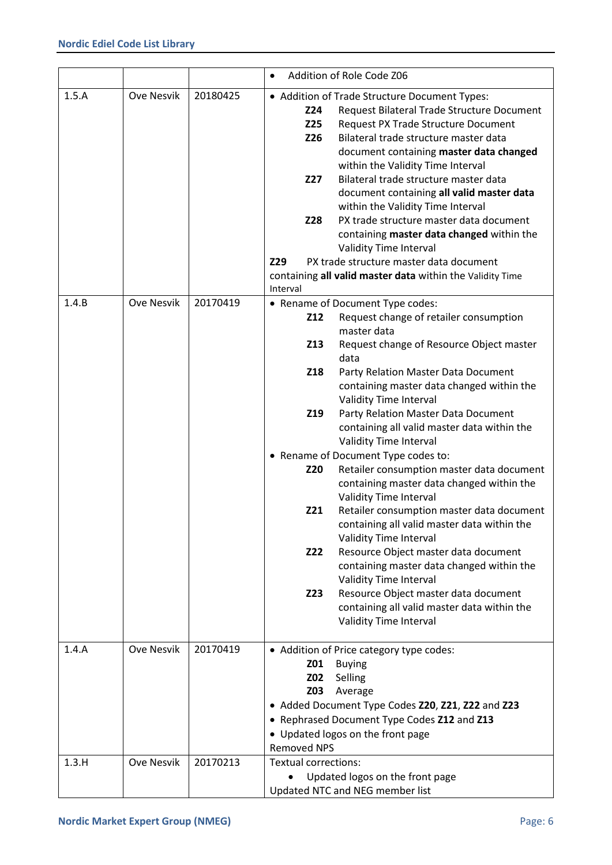|       |                   |          | Addition of Role Code Z06<br>٠                                                                                                                                                                                                                                                                                                                                                                                                                                                                                                                                                                                                                                                                                                                                                                                                                                                                                                                                          |
|-------|-------------------|----------|-------------------------------------------------------------------------------------------------------------------------------------------------------------------------------------------------------------------------------------------------------------------------------------------------------------------------------------------------------------------------------------------------------------------------------------------------------------------------------------------------------------------------------------------------------------------------------------------------------------------------------------------------------------------------------------------------------------------------------------------------------------------------------------------------------------------------------------------------------------------------------------------------------------------------------------------------------------------------|
| 1.5.A | Ove Nesvik        | 20180425 | • Addition of Trade Structure Document Types:<br>Request Bilateral Trade Structure Document<br>Z24<br>Z25<br>Request PX Trade Structure Document<br>Z26<br>Bilateral trade structure master data<br>document containing master data changed<br>within the Validity Time Interval<br>Z27<br>Bilateral trade structure master data<br>document containing all valid master data<br>within the Validity Time Interval<br>PX trade structure master data document<br><b>Z28</b><br>containing master data changed within the<br>Validity Time Interval<br>Z29<br>PX trade structure master data document<br>containing all valid master data within the Validity Time                                                                                                                                                                                                                                                                                                       |
| 1.4.B | <b>Ove Nesvik</b> | 20170419 | Interval<br>• Rename of Document Type codes:<br>Z12<br>Request change of retailer consumption<br>master data<br>Z13<br>Request change of Resource Object master<br>data<br>Z18<br>Party Relation Master Data Document<br>containing master data changed within the<br>Validity Time Interval<br>Z19<br>Party Relation Master Data Document<br>containing all valid master data within the<br>Validity Time Interval<br>• Rename of Document Type codes to:<br>Retailer consumption master data document<br><b>Z20</b><br>containing master data changed within the<br>Validity Time Interval<br>Retailer consumption master data document<br>Z21<br>containing all valid master data within the<br>Validity Time Interval<br>Z22<br>Resource Object master data document<br>containing master data changed within the<br>Validity Time Interval<br>Resource Object master data document<br>Z23<br>containing all valid master data within the<br>Validity Time Interval |
| 1.4.A | <b>Ove Nesvik</b> | 20170419 | • Addition of Price category type codes:<br>Z01<br><b>Buying</b><br><b>Z02</b><br>Selling<br><b>Z03</b><br>Average<br>• Added Document Type Codes Z20, Z21, Z22 and Z23<br>• Rephrased Document Type Codes Z12 and Z13<br>• Updated logos on the front page<br><b>Removed NPS</b>                                                                                                                                                                                                                                                                                                                                                                                                                                                                                                                                                                                                                                                                                       |
| 1.3.H | Ove Nesvik        | 20170213 | Textual corrections:<br>Updated logos on the front page<br>$\bullet$<br>Updated NTC and NEG member list                                                                                                                                                                                                                                                                                                                                                                                                                                                                                                                                                                                                                                                                                                                                                                                                                                                                 |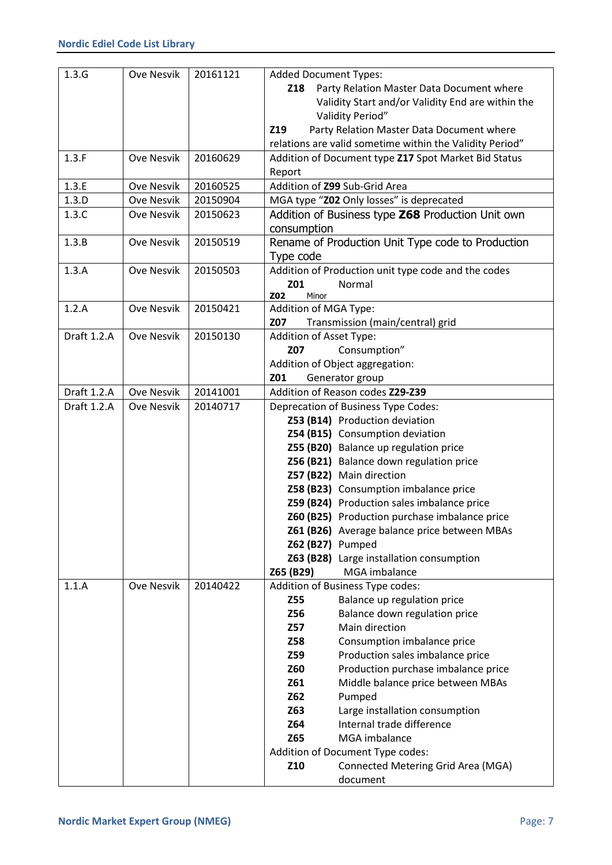| 1.3.G       | <b>Ove Nesvik</b> | 20161121 | <b>Added Document Types:</b>                             |
|-------------|-------------------|----------|----------------------------------------------------------|
|             |                   |          | Z18<br>Party Relation Master Data Document where         |
|             |                   |          | Validity Start and/or Validity End are within the        |
|             |                   |          | Validity Period"                                         |
|             |                   |          | Party Relation Master Data Document where<br><b>Z19</b>  |
|             |                   |          | relations are valid sometime within the Validity Period" |
| 1.3.F       | <b>Ove Nesvik</b> | 20160629 | Addition of Document type Z17 Spot Market Bid Status     |
|             |                   |          | Report                                                   |
| 1.3.E       | Ove Nesvik        | 20160525 | Addition of Z99 Sub-Grid Area                            |
| 1.3.D       | Ove Nesvik        | 20150904 | MGA type "Z02 Only losses" is deprecated                 |
| 1.3.C       | <b>Ove Nesvik</b> | 20150623 | Addition of Business type Z68 Production Unit own        |
|             |                   |          | consumption                                              |
| 1.3.B       | Ove Nesvik        | 20150519 | Rename of Production Unit Type code to Production        |
|             |                   |          | Type code                                                |
| 1.3.A       | <b>Ove Nesvik</b> | 20150503 | Addition of Production unit type code and the codes      |
|             |                   |          | Normal<br>Z01                                            |
|             |                   |          | Z02<br>Minor                                             |
| 1.2.A       | <b>Ove Nesvik</b> | 20150421 | Addition of MGA Type:                                    |
|             |                   |          | <b>Z07</b><br>Transmission (main/central) grid           |
| Draft 1.2.A | <b>Ove Nesvik</b> | 20150130 | Addition of Asset Type:                                  |
|             |                   |          | <b>Z07</b><br>Consumption"                               |
|             |                   |          | Addition of Object aggregation:                          |
|             |                   |          | Z01<br>Generator group                                   |
| Draft 1.2.A | Ove Nesvik        | 20141001 | Addition of Reason codes Z29-Z39                         |
| Draft 1.2.A | <b>Ove Nesvik</b> | 20140717 | Deprecation of Business Type Codes:                      |
|             |                   |          | Z53 (B14) Production deviation                           |
|             |                   |          | Z54 (B15) Consumption deviation                          |
|             |                   |          | Z55 (B20) Balance up regulation price                    |
|             |                   |          | Z56 (B21) Balance down regulation price                  |
|             |                   |          | Z57 (B22) Main direction                                 |
|             |                   |          | Z58 (B23) Consumption imbalance price                    |
|             |                   |          | Z59 (B24) Production sales imbalance price               |
|             |                   |          | Z60 (B25) Production purchase imbalance price            |
|             |                   |          | Z61 (B26) Average balance price between MBAs             |
|             |                   |          | Z62 (B27) Pumped                                         |
|             |                   |          | Z63 (B28) Large installation consumption                 |
|             |                   |          | Z65 (B29)<br>MGA imbalance                               |
| 1.1.A       | <b>Ove Nesvik</b> | 20140422 | Addition of Business Type codes:                         |
|             |                   |          | Balance up regulation price<br><b>Z55</b>                |
|             |                   |          | Balance down regulation price<br>Z56                     |
|             |                   |          | Main direction<br><b>Z57</b>                             |
|             |                   |          | <b>Z58</b><br>Consumption imbalance price                |
|             |                   |          | Production sales imbalance price<br><b>Z59</b>           |
|             |                   |          | <b>Z60</b><br>Production purchase imbalance price        |
|             |                   |          | <b>Z61</b><br>Middle balance price between MBAs          |
|             |                   |          | Z62<br>Pumped                                            |
|             |                   |          | Z63<br>Large installation consumption                    |
|             |                   |          | Z64<br>Internal trade difference                         |
|             |                   |          | Z65<br>MGA imbalance                                     |
|             |                   |          | Addition of Document Type codes:                         |
|             |                   |          | Z10<br>Connected Metering Grid Area (MGA)                |
|             |                   |          | document                                                 |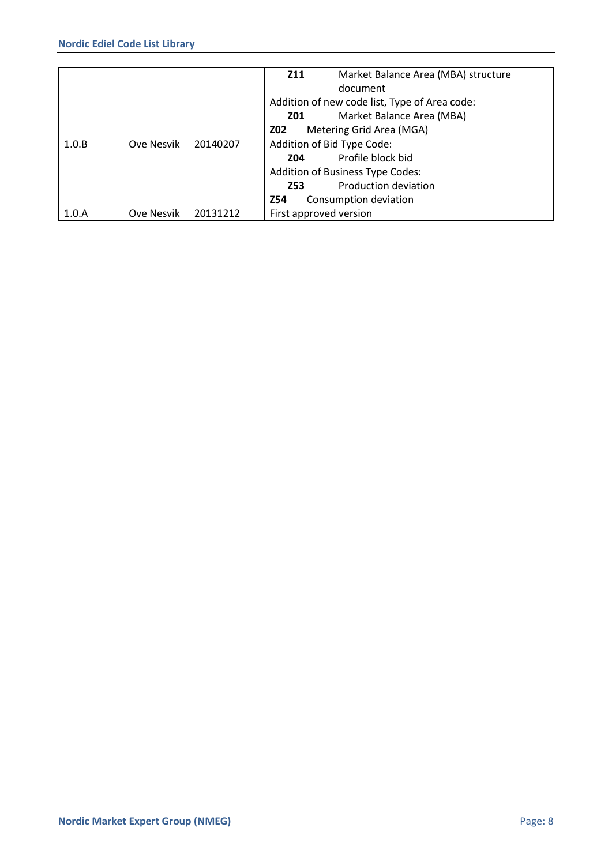|       |            |          | Market Balance Area (MBA) structure<br><b>Z11</b><br>document |
|-------|------------|----------|---------------------------------------------------------------|
|       |            |          | Addition of new code list, Type of Area code:                 |
|       |            |          | Market Balance Area (MBA)<br>Z01                              |
|       |            |          | Metering Grid Area (MGA)<br>Z02                               |
| 1.0.B | Ove Nesvik | 20140207 | Addition of Bid Type Code:                                    |
|       |            |          | Profile block bid<br>Z04                                      |
|       |            |          | Addition of Business Type Codes:                              |
|       |            |          | Production deviation<br>Z53                                   |
|       |            |          | Consumption deviation<br>Z54                                  |
| 1.0.A | Ove Nesvik | 20131212 | First approved version                                        |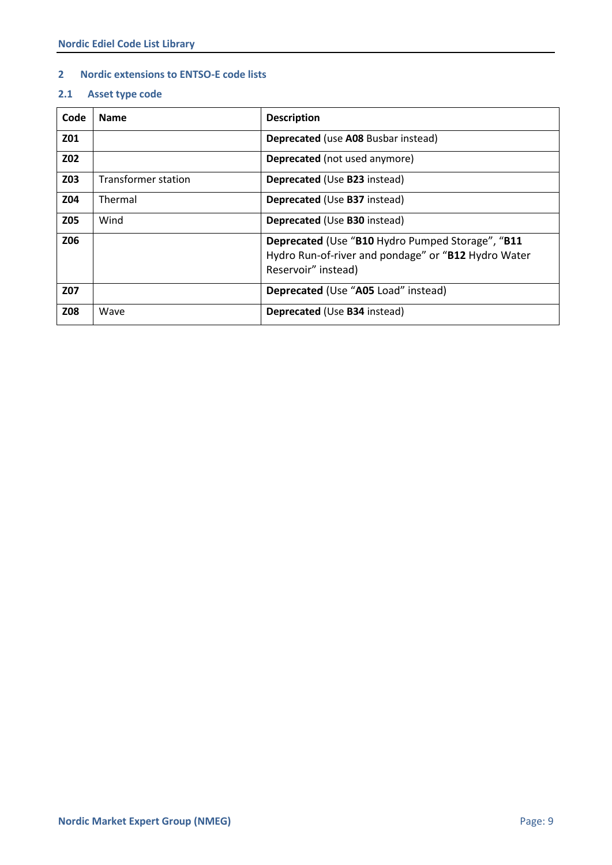#### <span id="page-8-0"></span>**2 Nordic extensions to ENTSO-E code lists**

#### <span id="page-8-1"></span>**2.1 Asset type code**

| Code       | <b>Name</b>                | <b>Description</b>                                                                                                             |
|------------|----------------------------|--------------------------------------------------------------------------------------------------------------------------------|
| <b>Z01</b> |                            | Deprecated (use A08 Busbar instead)                                                                                            |
| <b>Z02</b> |                            | Deprecated (not used anymore)                                                                                                  |
| <b>Z03</b> | <b>Transformer station</b> | Deprecated (Use B23 instead)                                                                                                   |
| <b>Z04</b> | Thermal                    | Deprecated (Use B37 instead)                                                                                                   |
| <b>Z05</b> | Wind                       | Deprecated (Use B30 instead)                                                                                                   |
| <b>Z06</b> |                            | Deprecated (Use "B10 Hydro Pumped Storage", "B11<br>Hydro Run-of-river and pondage" or "B12 Hydro Water<br>Reservoir" instead) |
| <b>Z07</b> |                            | Deprecated (Use "A05 Load" instead)                                                                                            |
| <b>Z08</b> | Wave                       | Deprecated (Use B34 instead)                                                                                                   |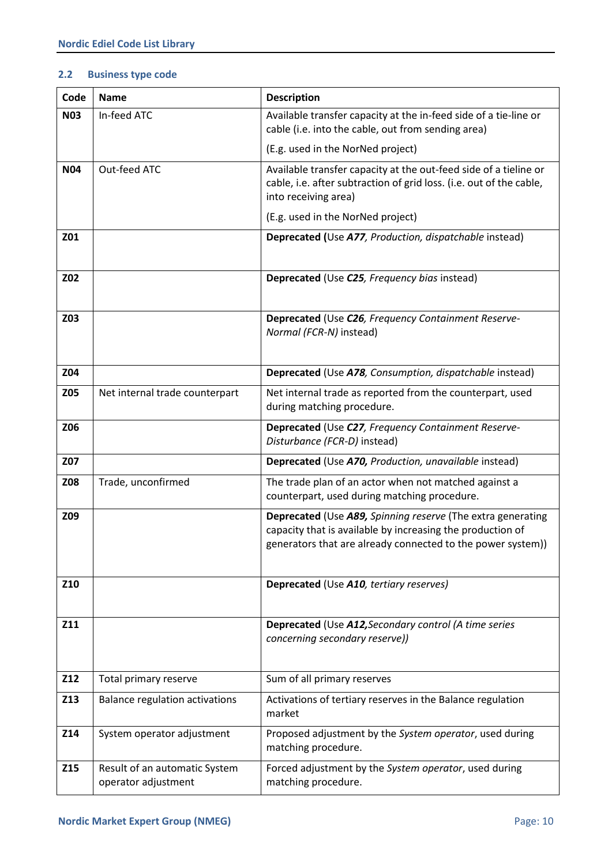## <span id="page-9-0"></span>**2.2 Business type code**

| Code       | <b>Name</b>                                          | <b>Description</b>                                                                                                                                                                       |
|------------|------------------------------------------------------|------------------------------------------------------------------------------------------------------------------------------------------------------------------------------------------|
| <b>N03</b> | In-feed ATC                                          | Available transfer capacity at the in-feed side of a tie-line or<br>cable (i.e. into the cable, out from sending area)                                                                   |
|            |                                                      | (E.g. used in the NorNed project)                                                                                                                                                        |
| <b>N04</b> | Out-feed ATC                                         | Available transfer capacity at the out-feed side of a tieline or<br>cable, i.e. after subtraction of grid loss. (i.e. out of the cable,<br>into receiving area)                          |
|            |                                                      | (E.g. used in the NorNed project)                                                                                                                                                        |
| Z01        |                                                      | Deprecated (Use A77, Production, dispatchable instead)                                                                                                                                   |
| Z02        |                                                      | Deprecated (Use C25, Frequency bias instead)                                                                                                                                             |
| Z03        |                                                      | Deprecated (Use C26, Frequency Containment Reserve-<br>Normal (FCR-N) instead)                                                                                                           |
| <b>Z04</b> |                                                      | Deprecated (Use A78, Consumption, dispatchable instead)                                                                                                                                  |
| <b>Z05</b> | Net internal trade counterpart                       | Net internal trade as reported from the counterpart, used<br>during matching procedure.                                                                                                  |
| Z06        |                                                      | Deprecated (Use C27, Frequency Containment Reserve-<br>Disturbance (FCR-D) instead)                                                                                                      |
| <b>Z07</b> |                                                      | Deprecated (Use A70, Production, unavailable instead)                                                                                                                                    |
| <b>Z08</b> | Trade, unconfirmed                                   | The trade plan of an actor when not matched against a<br>counterpart, used during matching procedure.                                                                                    |
| Z09        |                                                      | Deprecated (Use A89, Spinning reserve (The extra generating<br>capacity that is available by increasing the production of<br>generators that are already connected to the power system)) |
| Z10        |                                                      | Deprecated (Use A10, tertiary reserves)                                                                                                                                                  |
| Z11        |                                                      | Deprecated (Use A12, Secondary control (A time series<br>concerning secondary reserve))                                                                                                  |
| Z12        | Total primary reserve                                | Sum of all primary reserves                                                                                                                                                              |
| Z13        | <b>Balance regulation activations</b>                | Activations of tertiary reserves in the Balance regulation<br>market                                                                                                                     |
| Z14        | System operator adjustment                           | Proposed adjustment by the System operator, used during<br>matching procedure.                                                                                                           |
| Z15        | Result of an automatic System<br>operator adjustment | Forced adjustment by the System operator, used during<br>matching procedure.                                                                                                             |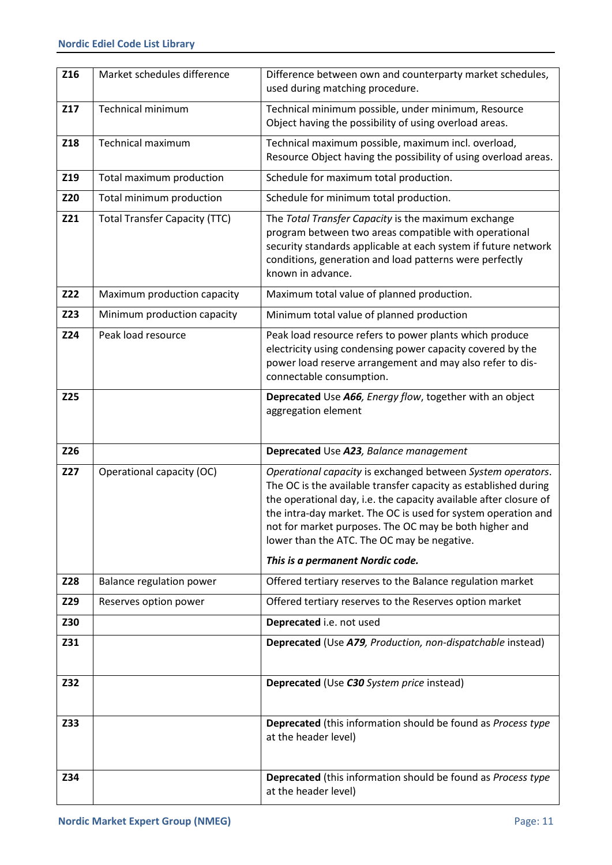| Z16        | Market schedules difference          | Difference between own and counterparty market schedules,<br>used during matching procedure.                                                                                                                                                                                                                                                                                                                      |
|------------|--------------------------------------|-------------------------------------------------------------------------------------------------------------------------------------------------------------------------------------------------------------------------------------------------------------------------------------------------------------------------------------------------------------------------------------------------------------------|
| Z17        | <b>Technical minimum</b>             | Technical minimum possible, under minimum, Resource<br>Object having the possibility of using overload areas.                                                                                                                                                                                                                                                                                                     |
| Z18        | <b>Technical maximum</b>             | Technical maximum possible, maximum incl. overload,<br>Resource Object having the possibility of using overload areas.                                                                                                                                                                                                                                                                                            |
| Z19        | Total maximum production             | Schedule for maximum total production.                                                                                                                                                                                                                                                                                                                                                                            |
| <b>Z20</b> | Total minimum production             | Schedule for minimum total production.                                                                                                                                                                                                                                                                                                                                                                            |
| Z21        | <b>Total Transfer Capacity (TTC)</b> | The Total Transfer Capacity is the maximum exchange<br>program between two areas compatible with operational<br>security standards applicable at each system if future network<br>conditions, generation and load patterns were perfectly<br>known in advance.                                                                                                                                                    |
| Z22        | Maximum production capacity          | Maximum total value of planned production.                                                                                                                                                                                                                                                                                                                                                                        |
| Z23        | Minimum production capacity          | Minimum total value of planned production                                                                                                                                                                                                                                                                                                                                                                         |
| Z24        | Peak load resource                   | Peak load resource refers to power plants which produce<br>electricity using condensing power capacity covered by the<br>power load reserve arrangement and may also refer to dis-<br>connectable consumption.                                                                                                                                                                                                    |
| Z25        |                                      | Deprecated Use A66, Energy flow, together with an object<br>aggregation element                                                                                                                                                                                                                                                                                                                                   |
| Z26        |                                      | Deprecated Use A23, Balance management                                                                                                                                                                                                                                                                                                                                                                            |
| Z27        | Operational capacity (OC)            | Operational capacity is exchanged between System operators.<br>The OC is the available transfer capacity as established during<br>the operational day, i.e. the capacity available after closure of<br>the intra-day market. The OC is used for system operation and<br>not for market purposes. The OC may be both higher and<br>lower than the ATC. The OC may be negative.<br>This is a permanent Nordic code. |
| <b>Z28</b> | <b>Balance regulation power</b>      | Offered tertiary reserves to the Balance regulation market                                                                                                                                                                                                                                                                                                                                                        |
| <b>Z29</b> | Reserves option power                | Offered tertiary reserves to the Reserves option market                                                                                                                                                                                                                                                                                                                                                           |
| <b>Z30</b> |                                      | Deprecated i.e. not used                                                                                                                                                                                                                                                                                                                                                                                          |
| Z31        |                                      | Deprecated (Use A79, Production, non-dispatchable instead)                                                                                                                                                                                                                                                                                                                                                        |
| Z32        |                                      | Deprecated (Use C30 System price instead)                                                                                                                                                                                                                                                                                                                                                                         |
| Z33        |                                      | Deprecated (this information should be found as Process type<br>at the header level)                                                                                                                                                                                                                                                                                                                              |
| Z34        |                                      | Deprecated (this information should be found as Process type<br>at the header level)                                                                                                                                                                                                                                                                                                                              |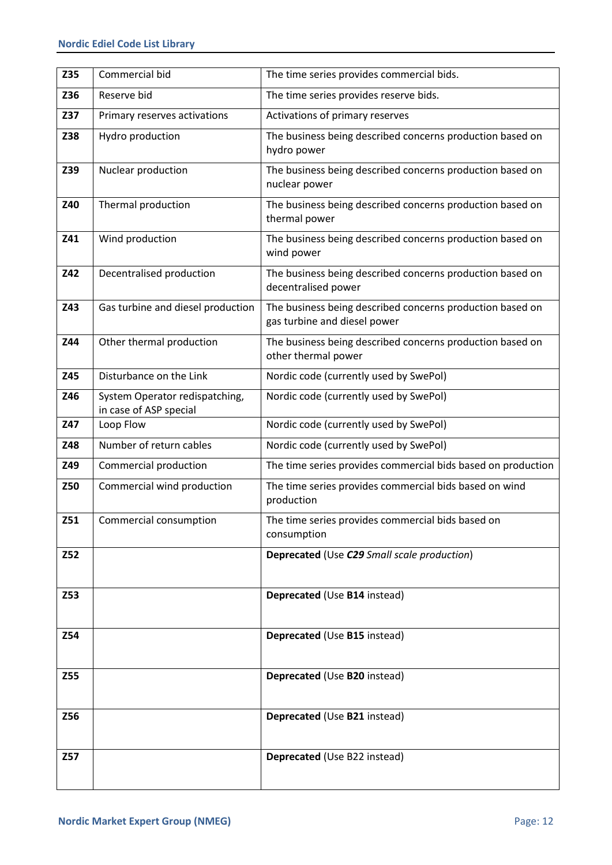| Z35        | Commercial bid                                           | The time series provides commercial bids.                                                 |
|------------|----------------------------------------------------------|-------------------------------------------------------------------------------------------|
| Z36        | Reserve bid                                              | The time series provides reserve bids.                                                    |
| Z37        | Primary reserves activations                             | Activations of primary reserves                                                           |
| Z38        | Hydro production                                         | The business being described concerns production based on<br>hydro power                  |
| Z39        | Nuclear production                                       | The business being described concerns production based on<br>nuclear power                |
| <b>Z40</b> | Thermal production                                       | The business being described concerns production based on<br>thermal power                |
| Z41        | Wind production                                          | The business being described concerns production based on<br>wind power                   |
| Z42        | Decentralised production                                 | The business being described concerns production based on<br>decentralised power          |
| Z43        | Gas turbine and diesel production                        | The business being described concerns production based on<br>gas turbine and diesel power |
| Z44        | Other thermal production                                 | The business being described concerns production based on<br>other thermal power          |
| Z45        | Disturbance on the Link                                  | Nordic code (currently used by SwePol)                                                    |
| Z46        | System Operator redispatching,<br>in case of ASP special | Nordic code (currently used by SwePol)                                                    |
| Z47        | Loop Flow                                                | Nordic code (currently used by SwePol)                                                    |
| Z48        | Number of return cables                                  | Nordic code (currently used by SwePol)                                                    |
| Z49        | Commercial production                                    | The time series provides commercial bids based on production                              |
| <b>Z50</b> | Commercial wind production                               | The time series provides commercial bids based on wind<br>production                      |
| Z51        | Commercial consumption                                   | The time series provides commercial bids based on<br>consumption                          |
| Z52        |                                                          | Deprecated (Use C29 Small scale production)                                               |
| Z53        |                                                          | Deprecated (Use B14 instead)                                                              |
| Z54        |                                                          | Deprecated (Use B15 instead)                                                              |
| Z55        |                                                          | Deprecated (Use B20 instead)                                                              |
| Z56        |                                                          | Deprecated (Use B21 instead)                                                              |
| Z57        |                                                          | Deprecated (Use B22 instead)                                                              |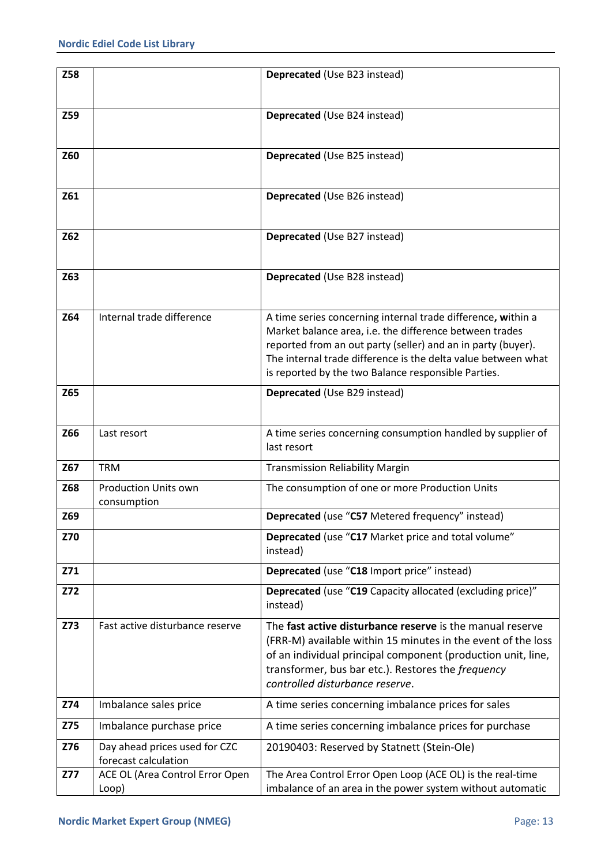| Z58        |                                                       | Deprecated (Use B23 instead)                                                                                                                                                                                                                                                                                    |
|------------|-------------------------------------------------------|-----------------------------------------------------------------------------------------------------------------------------------------------------------------------------------------------------------------------------------------------------------------------------------------------------------------|
| Z59        |                                                       | Deprecated (Use B24 instead)                                                                                                                                                                                                                                                                                    |
| <b>Z60</b> |                                                       | Deprecated (Use B25 instead)                                                                                                                                                                                                                                                                                    |
| Z61        |                                                       | Deprecated (Use B26 instead)                                                                                                                                                                                                                                                                                    |
| Z62        |                                                       | Deprecated (Use B27 instead)                                                                                                                                                                                                                                                                                    |
| Z63        |                                                       | Deprecated (Use B28 instead)                                                                                                                                                                                                                                                                                    |
| Z64        | Internal trade difference                             | A time series concerning internal trade difference, within a<br>Market balance area, i.e. the difference between trades<br>reported from an out party (seller) and an in party (buyer).<br>The internal trade difference is the delta value between what<br>is reported by the two Balance responsible Parties. |
| Z65        |                                                       | Deprecated (Use B29 instead)                                                                                                                                                                                                                                                                                    |
| <b>Z66</b> | Last resort                                           | A time series concerning consumption handled by supplier of<br>last resort                                                                                                                                                                                                                                      |
| <b>Z67</b> | <b>TRM</b>                                            | <b>Transmission Reliability Margin</b>                                                                                                                                                                                                                                                                          |
| <b>Z68</b> | <b>Production Units own</b><br>consumption            | The consumption of one or more Production Units                                                                                                                                                                                                                                                                 |
| Z69        |                                                       | Deprecated (use "C57 Metered frequency" instead)                                                                                                                                                                                                                                                                |
| Z70        |                                                       | Deprecated (use "C17 Market price and total volume"<br>instead)                                                                                                                                                                                                                                                 |
| Z71        |                                                       | Deprecated (use "C18 Import price" instead)                                                                                                                                                                                                                                                                     |
| Z72        |                                                       | Deprecated (use "C19 Capacity allocated (excluding price)"<br>instead)                                                                                                                                                                                                                                          |
| Z73        | Fast active disturbance reserve                       | The fast active disturbance reserve is the manual reserve<br>(FRR-M) available within 15 minutes in the event of the loss<br>of an individual principal component (production unit, line,<br>transformer, bus bar etc.). Restores the frequency<br>controlled disturbance reserve.                              |
| Z74        | Imbalance sales price                                 | A time series concerning imbalance prices for sales                                                                                                                                                                                                                                                             |
| Z75        | Imbalance purchase price                              | A time series concerning imbalance prices for purchase                                                                                                                                                                                                                                                          |
| Z76        | Day ahead prices used for CZC<br>forecast calculation | 20190403: Reserved by Statnett (Stein-Ole)                                                                                                                                                                                                                                                                      |
| Z77        | ACE OL (Area Control Error Open<br>Loop)              | The Area Control Error Open Loop (ACE OL) is the real-time<br>imbalance of an area in the power system without automatic                                                                                                                                                                                        |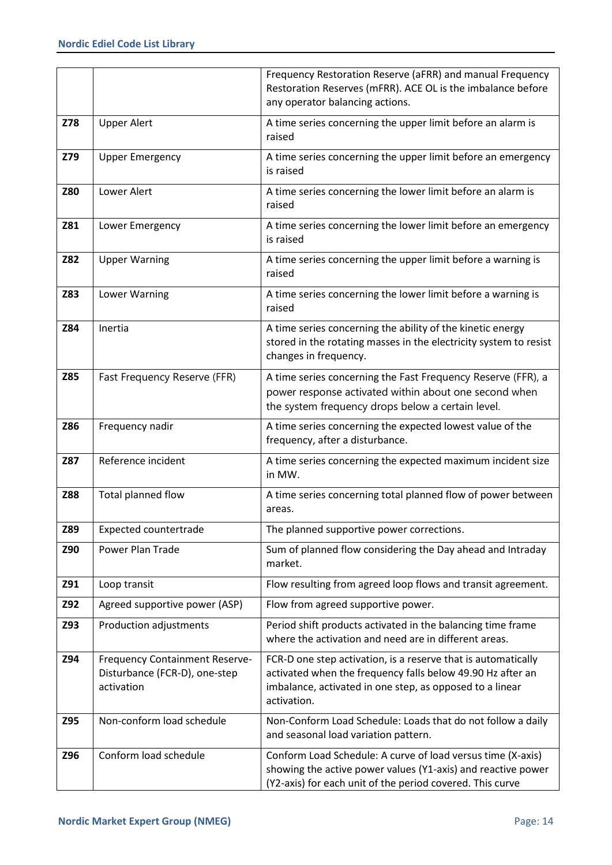|            |                                                                               | Frequency Restoration Reserve (aFRR) and manual Frequency<br>Restoration Reserves (mFRR). ACE OL is the imbalance before<br>any operator balancing actions.                                            |
|------------|-------------------------------------------------------------------------------|--------------------------------------------------------------------------------------------------------------------------------------------------------------------------------------------------------|
| Z78        | <b>Upper Alert</b>                                                            | A time series concerning the upper limit before an alarm is<br>raised                                                                                                                                  |
| Z79        | <b>Upper Emergency</b>                                                        | A time series concerning the upper limit before an emergency<br>is raised                                                                                                                              |
| <b>Z80</b> | Lower Alert                                                                   | A time series concerning the lower limit before an alarm is<br>raised                                                                                                                                  |
| Z81        | Lower Emergency                                                               | A time series concerning the lower limit before an emergency<br>is raised                                                                                                                              |
| Z82        | <b>Upper Warning</b>                                                          | A time series concerning the upper limit before a warning is<br>raised                                                                                                                                 |
| Z83        | Lower Warning                                                                 | A time series concerning the lower limit before a warning is<br>raised                                                                                                                                 |
| Z84        | Inertia                                                                       | A time series concerning the ability of the kinetic energy<br>stored in the rotating masses in the electricity system to resist<br>changes in frequency.                                               |
| Z85        | Fast Frequency Reserve (FFR)                                                  | A time series concerning the Fast Frequency Reserve (FFR), a<br>power response activated within about one second when<br>the system frequency drops below a certain level.                             |
| <b>Z86</b> | Frequency nadir                                                               | A time series concerning the expected lowest value of the<br>frequency, after a disturbance.                                                                                                           |
| Z87        | Reference incident                                                            | A time series concerning the expected maximum incident size<br>in MW.                                                                                                                                  |
| <b>Z88</b> | Total planned flow                                                            | A time series concerning total planned flow of power between<br>areas.                                                                                                                                 |
| <b>Z89</b> | <b>Expected countertrade</b>                                                  | The planned supportive power corrections.                                                                                                                                                              |
| <b>Z90</b> | Power Plan Trade                                                              | Sum of planned flow considering the Day ahead and Intraday<br>market.                                                                                                                                  |
| Z91        | Loop transit                                                                  | Flow resulting from agreed loop flows and transit agreement.                                                                                                                                           |
| Z92        | Agreed supportive power (ASP)                                                 | Flow from agreed supportive power.                                                                                                                                                                     |
| Z93        | Production adjustments                                                        | Period shift products activated in the balancing time frame<br>where the activation and need are in different areas.                                                                                   |
| Z94        | Frequency Containment Reserve-<br>Disturbance (FCR-D), one-step<br>activation | FCR-D one step activation, is a reserve that is automatically<br>activated when the frequency falls below 49.90 Hz after an<br>imbalance, activated in one step, as opposed to a linear<br>activation. |
| Z95        | Non-conform load schedule                                                     | Non-Conform Load Schedule: Loads that do not follow a daily<br>and seasonal load variation pattern.                                                                                                    |
| Z96        | Conform load schedule                                                         | Conform Load Schedule: A curve of load versus time (X-axis)<br>showing the active power values (Y1-axis) and reactive power<br>(Y2-axis) for each unit of the period covered. This curve               |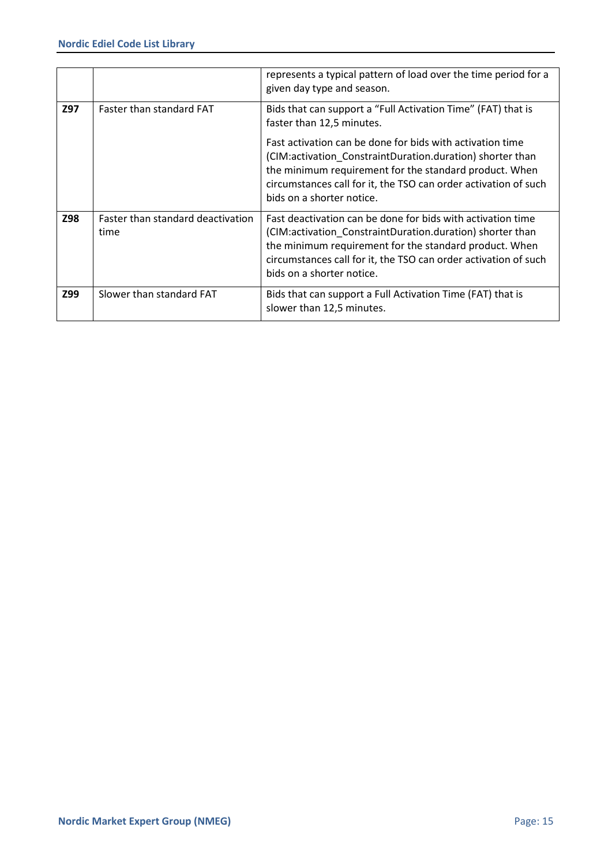|            |                                           | represents a typical pattern of load over the time period for a<br>given day type and season.                                                                                                                                                                                      |
|------------|-------------------------------------------|------------------------------------------------------------------------------------------------------------------------------------------------------------------------------------------------------------------------------------------------------------------------------------|
| <b>Z97</b> | Faster than standard FAT                  | Bids that can support a "Full Activation Time" (FAT) that is<br>faster than 12,5 minutes.                                                                                                                                                                                          |
|            |                                           | Fast activation can be done for bids with activation time<br>(CIM:activation_ConstraintDuration.duration) shorter than<br>the minimum requirement for the standard product. When<br>circumstances call for it, the TSO can order activation of such<br>bids on a shorter notice.   |
| <b>Z98</b> | Faster than standard deactivation<br>time | Fast deactivation can be done for bids with activation time<br>(CIM:activation_ConstraintDuration.duration) shorter than<br>the minimum requirement for the standard product. When<br>circumstances call for it, the TSO can order activation of such<br>bids on a shorter notice. |
| <b>Z99</b> | Slower than standard FAT                  | Bids that can support a Full Activation Time (FAT) that is<br>slower than 12,5 minutes.                                                                                                                                                                                            |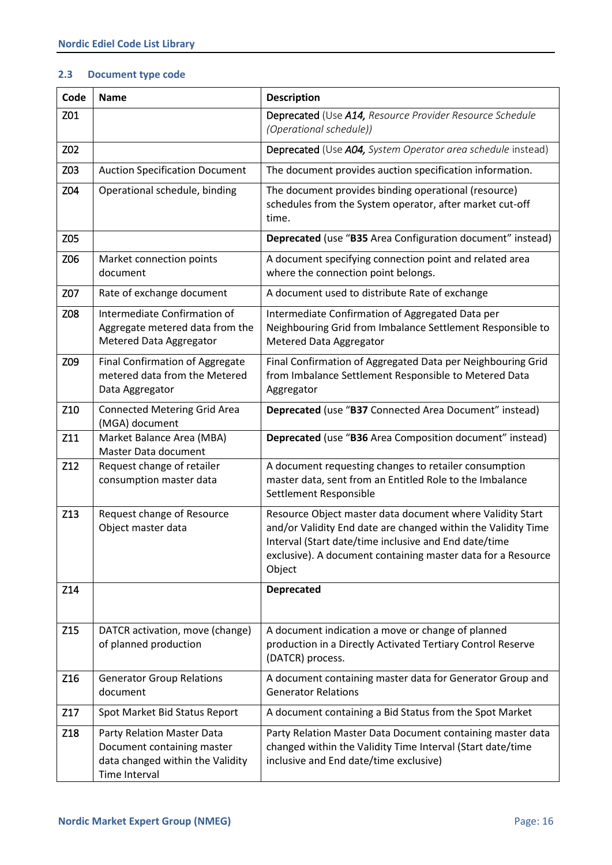## <span id="page-15-0"></span>**2.3 Document type code**

| Code            | <b>Name</b>                                                                                                   | <b>Description</b>                                                                                                                                                                                                                                            |
|-----------------|---------------------------------------------------------------------------------------------------------------|---------------------------------------------------------------------------------------------------------------------------------------------------------------------------------------------------------------------------------------------------------------|
| Z01             |                                                                                                               | Deprecated (Use A14, Resource Provider Resource Schedule<br>(Operational schedule))                                                                                                                                                                           |
| Z02             |                                                                                                               | Deprecated (Use A04, System Operator area schedule instead)                                                                                                                                                                                                   |
| Z03             | <b>Auction Specification Document</b>                                                                         | The document provides auction specification information.                                                                                                                                                                                                      |
| Z04             | Operational schedule, binding                                                                                 | The document provides binding operational (resource)<br>schedules from the System operator, after market cut-off<br>time.                                                                                                                                     |
| Z05             |                                                                                                               | Deprecated (use "B35 Area Configuration document" instead)                                                                                                                                                                                                    |
| Z06             | Market connection points<br>document                                                                          | A document specifying connection point and related area<br>where the connection point belongs.                                                                                                                                                                |
| Z07             | Rate of exchange document                                                                                     | A document used to distribute Rate of exchange                                                                                                                                                                                                                |
| Z08             | Intermediate Confirmation of<br>Aggregate metered data from the<br>Metered Data Aggregator                    | Intermediate Confirmation of Aggregated Data per<br>Neighbouring Grid from Imbalance Settlement Responsible to<br>Metered Data Aggregator                                                                                                                     |
| Z09             | Final Confirmation of Aggregate<br>metered data from the Metered<br>Data Aggregator                           | Final Confirmation of Aggregated Data per Neighbouring Grid<br>from Imbalance Settlement Responsible to Metered Data<br>Aggregator                                                                                                                            |
| Z <sub>10</sub> | <b>Connected Metering Grid Area</b><br>(MGA) document                                                         | Deprecated (use "B37 Connected Area Document" instead)                                                                                                                                                                                                        |
| Z11             | Market Balance Area (MBA)<br>Master Data document                                                             | Deprecated (use "B36 Area Composition document" instead)                                                                                                                                                                                                      |
| Z12             | Request change of retailer<br>consumption master data                                                         | A document requesting changes to retailer consumption<br>master data, sent from an Entitled Role to the Imbalance<br>Settlement Responsible                                                                                                                   |
| Z13             | Request change of Resource<br>Object master data                                                              | Resource Object master data document where Validity Start<br>and/or Validity End date are changed within the Validity Time<br>Interval (Start date/time inclusive and End date/time<br>exclusive). A document containing master data for a Resource<br>Object |
| Z14             |                                                                                                               | <b>Deprecated</b>                                                                                                                                                                                                                                             |
| Z15             | DATCR activation, move (change)<br>of planned production                                                      | A document indication a move or change of planned<br>production in a Directly Activated Tertiary Control Reserve<br>(DATCR) process.                                                                                                                          |
| Z16             | <b>Generator Group Relations</b><br>document                                                                  | A document containing master data for Generator Group and<br><b>Generator Relations</b>                                                                                                                                                                       |
| Z17             | Spot Market Bid Status Report                                                                                 | A document containing a Bid Status from the Spot Market                                                                                                                                                                                                       |
| Z18             | Party Relation Master Data<br>Document containing master<br>data changed within the Validity<br>Time Interval | Party Relation Master Data Document containing master data<br>changed within the Validity Time Interval (Start date/time<br>inclusive and End date/time exclusive)                                                                                            |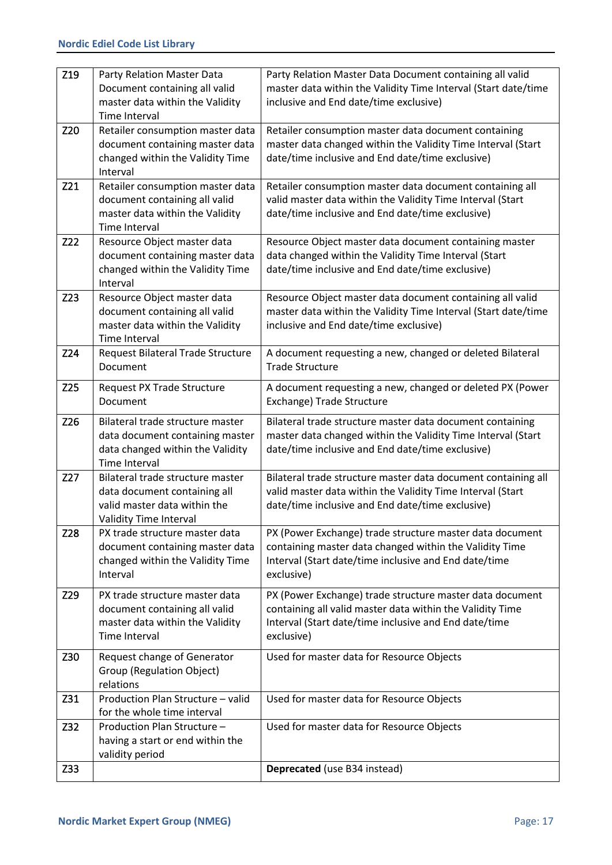| Z19 | Party Relation Master Data<br>Document containing all valid<br>master data within the Validity<br><b>Time Interval</b>       | Party Relation Master Data Document containing all valid<br>master data within the Validity Time Interval (Start date/time<br>inclusive and End date/time exclusive)                         |
|-----|------------------------------------------------------------------------------------------------------------------------------|----------------------------------------------------------------------------------------------------------------------------------------------------------------------------------------------|
| Z20 | Retailer consumption master data<br>document containing master data<br>changed within the Validity Time<br>Interval          | Retailer consumption master data document containing<br>master data changed within the Validity Time Interval (Start<br>date/time inclusive and End date/time exclusive)                     |
| Z21 | Retailer consumption master data<br>document containing all valid<br>master data within the Validity<br><b>Time Interval</b> | Retailer consumption master data document containing all<br>valid master data within the Validity Time Interval (Start<br>date/time inclusive and End date/time exclusive)                   |
| Z22 | Resource Object master data<br>document containing master data<br>changed within the Validity Time<br>Interval               | Resource Object master data document containing master<br>data changed within the Validity Time Interval (Start<br>date/time inclusive and End date/time exclusive)                          |
| Z23 | Resource Object master data<br>document containing all valid<br>master data within the Validity<br>Time Interval             | Resource Object master data document containing all valid<br>master data within the Validity Time Interval (Start date/time<br>inclusive and End date/time exclusive)                        |
| Z24 | Request Bilateral Trade Structure<br>Document                                                                                | A document requesting a new, changed or deleted Bilateral<br><b>Trade Structure</b>                                                                                                          |
| Z25 | Request PX Trade Structure<br>Document                                                                                       | A document requesting a new, changed or deleted PX (Power<br>Exchange) Trade Structure                                                                                                       |
| Z26 | Bilateral trade structure master<br>data document containing master<br>data changed within the Validity<br>Time Interval     | Bilateral trade structure master data document containing<br>master data changed within the Validity Time Interval (Start<br>date/time inclusive and End date/time exclusive)                |
| Z27 | Bilateral trade structure master<br>data document containing all<br>valid master data within the<br>Validity Time Interval   | Bilateral trade structure master data document containing all<br>valid master data within the Validity Time Interval (Start<br>date/time inclusive and End date/time exclusive)              |
| Z28 | PX trade structure master data<br>document containing master data<br>changed within the Validity Time<br>Interval            | PX (Power Exchange) trade structure master data document<br>containing master data changed within the Validity Time<br>Interval (Start date/time inclusive and End date/time<br>exclusive)   |
| Z29 | PX trade structure master data<br>document containing all valid<br>master data within the Validity<br>Time Interval          | PX (Power Exchange) trade structure master data document<br>containing all valid master data within the Validity Time<br>Interval (Start date/time inclusive and End date/time<br>exclusive) |
| Z30 | Request change of Generator<br><b>Group (Regulation Object)</b><br>relations                                                 | Used for master data for Resource Objects                                                                                                                                                    |
| Z31 | Production Plan Structure - valid<br>for the whole time interval                                                             | Used for master data for Resource Objects                                                                                                                                                    |
| Z32 | Production Plan Structure -<br>having a start or end within the<br>validity period                                           | Used for master data for Resource Objects                                                                                                                                                    |
| Z33 |                                                                                                                              | Deprecated (use B34 instead)                                                                                                                                                                 |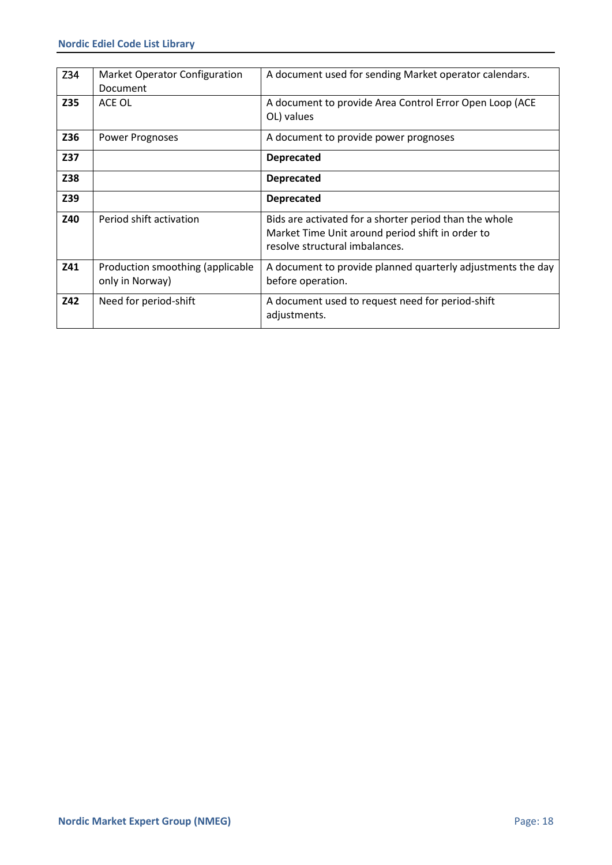| Z34        | Market Operator Configuration<br>Document           | A document used for sending Market operator calendars.                                                                                       |
|------------|-----------------------------------------------------|----------------------------------------------------------------------------------------------------------------------------------------------|
| Z35        | ACE OL                                              | A document to provide Area Control Error Open Loop (ACE<br>OL) values                                                                        |
| Z36        | <b>Power Prognoses</b>                              | A document to provide power prognoses                                                                                                        |
| <b>Z37</b> |                                                     | <b>Deprecated</b>                                                                                                                            |
| Z38        |                                                     | <b>Deprecated</b>                                                                                                                            |
| Z39        |                                                     | <b>Deprecated</b>                                                                                                                            |
| <b>Z40</b> | Period shift activation                             | Bids are activated for a shorter period than the whole<br>Market Time Unit around period shift in order to<br>resolve structural imbalances. |
| Z41        | Production smoothing (applicable<br>only in Norway) | A document to provide planned quarterly adjustments the day<br>before operation.                                                             |
| Z42        | Need for period-shift                               | A document used to request need for period-shift<br>adjustments.                                                                             |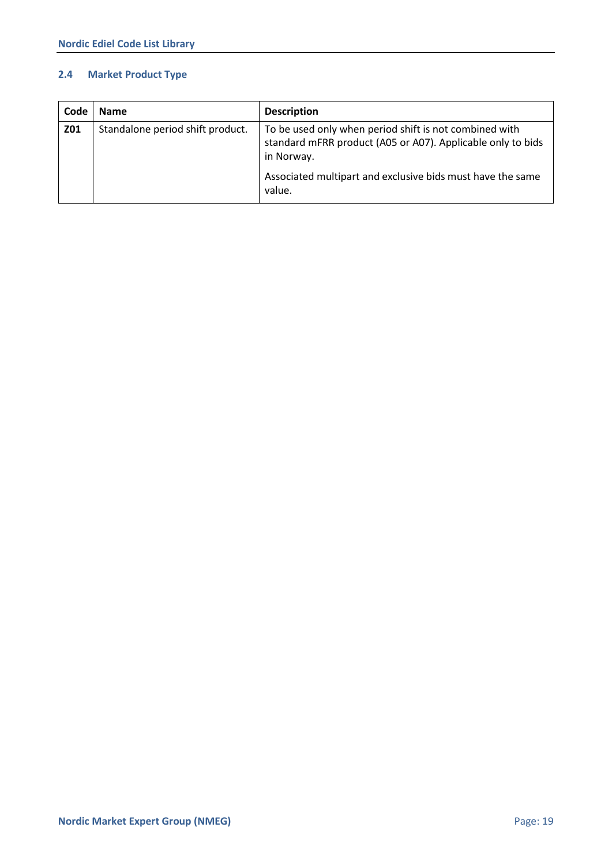## <span id="page-18-0"></span>**2.4 Market Product Type**

| Code | <b>Name</b>                      | <b>Description</b>                                                                                                                  |
|------|----------------------------------|-------------------------------------------------------------------------------------------------------------------------------------|
| Z01  | Standalone period shift product. | To be used only when period shift is not combined with<br>standard mFRR product (A05 or A07). Applicable only to bids<br>in Norway. |
|      |                                  | Associated multipart and exclusive bids must have the same<br>value.                                                                |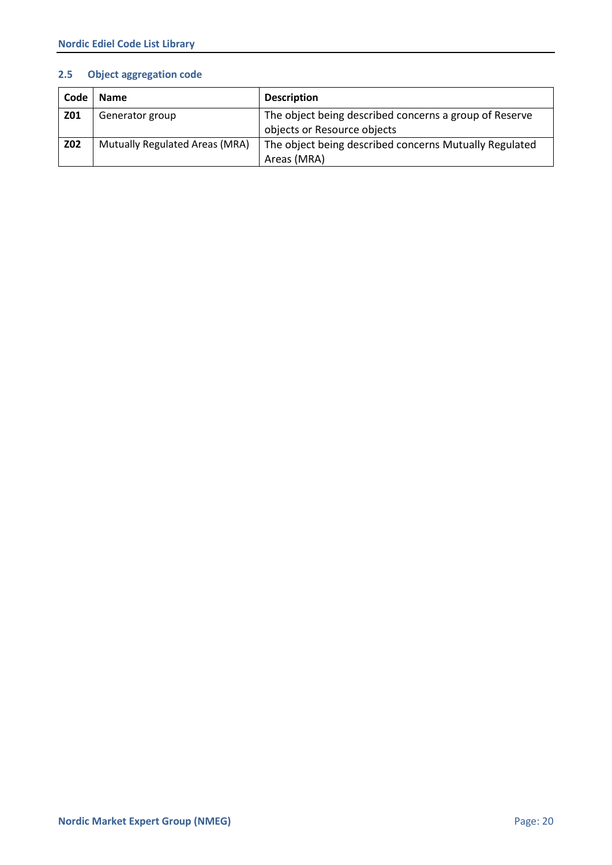## <span id="page-19-0"></span>**2.5 Object aggregation code**

| Code       | <b>Name</b>                    | <b>Description</b>                                                                    |
|------------|--------------------------------|---------------------------------------------------------------------------------------|
| Z01        | Generator group                | The object being described concerns a group of Reserve<br>objects or Resource objects |
| <b>Z02</b> | Mutually Regulated Areas (MRA) | The object being described concerns Mutually Regulated<br>Areas (MRA)                 |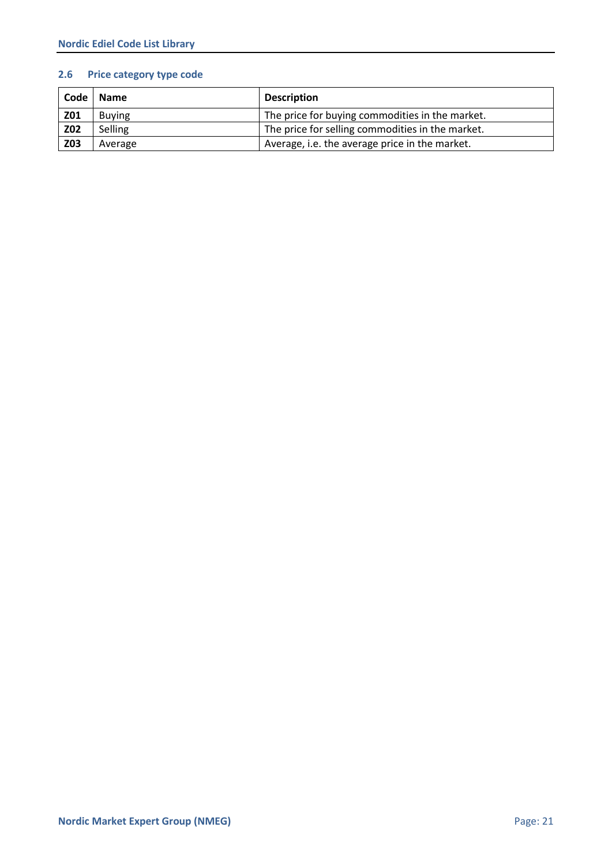## <span id="page-20-0"></span>**2.6 Price category type code**

| Code       | <b>Name</b>   | <b>Description</b>                               |
|------------|---------------|--------------------------------------------------|
| Z01        | <b>Buying</b> | The price for buying commodities in the market.  |
| <b>Z02</b> | Selling       | The price for selling commodities in the market. |
| <b>Z03</b> | Average       | Average, i.e. the average price in the market.   |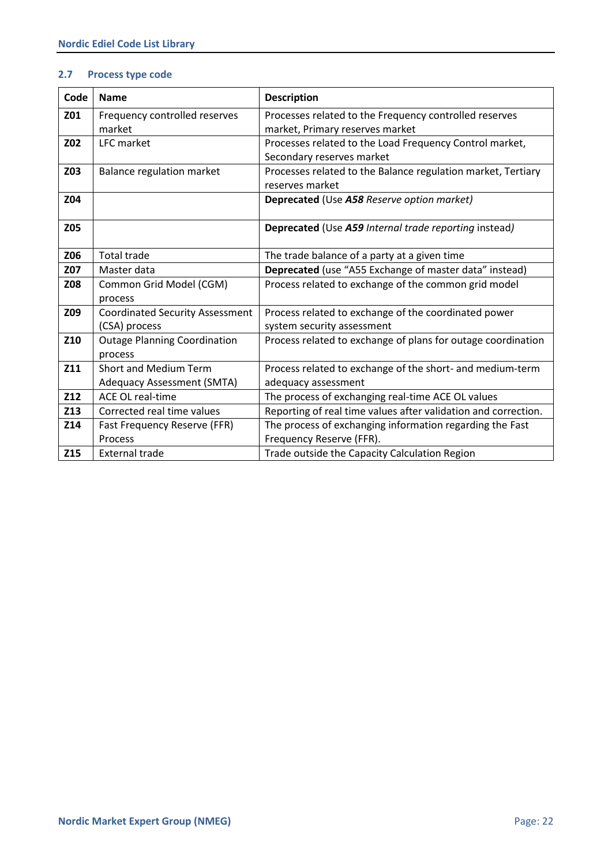## <span id="page-21-0"></span>**2.7 Process type code**

| Code       | <b>Name</b>                                                       | <b>Description</b>                                                                        |
|------------|-------------------------------------------------------------------|-------------------------------------------------------------------------------------------|
| Z01        | Frequency controlled reserves<br>market                           | Processes related to the Frequency controlled reserves<br>market, Primary reserves market |
| <b>Z02</b> | <b>LFC</b> market                                                 | Processes related to the Load Frequency Control market,<br>Secondary reserves market      |
| Z03        | <b>Balance regulation market</b>                                  | Processes related to the Balance regulation market, Tertiary<br>reserves market           |
| Z04        |                                                                   | Deprecated (Use A58 Reserve option market)                                                |
| Z05        |                                                                   | Deprecated (Use A59 Internal trade reporting instead)                                     |
| Z06        | <b>Total trade</b>                                                | The trade balance of a party at a given time                                              |
| Z07        | Master data                                                       | Deprecated (use "A55 Exchange of master data" instead)                                    |
| Z08        | Common Grid Model (CGM)<br>process                                | Process related to exchange of the common grid model                                      |
| Z09        | <b>Coordinated Security Assessment</b><br>(CSA) process           | Process related to exchange of the coordinated power<br>system security assessment        |
| Z10        | <b>Outage Planning Coordination</b><br>process                    | Process related to exchange of plans for outage coordination                              |
| <b>Z11</b> | <b>Short and Medium Term</b><br><b>Adequacy Assessment (SMTA)</b> | Process related to exchange of the short- and medium-term<br>adequacy assessment          |
| Z12        | ACE OL real-time                                                  | The process of exchanging real-time ACE OL values                                         |
| Z13        | Corrected real time values                                        | Reporting of real time values after validation and correction.                            |
| Z14        | Fast Frequency Reserve (FFR)                                      | The process of exchanging information regarding the Fast                                  |
|            | Process                                                           | Frequency Reserve (FFR).                                                                  |
| Z15        | <b>External trade</b>                                             | Trade outside the Capacity Calculation Region                                             |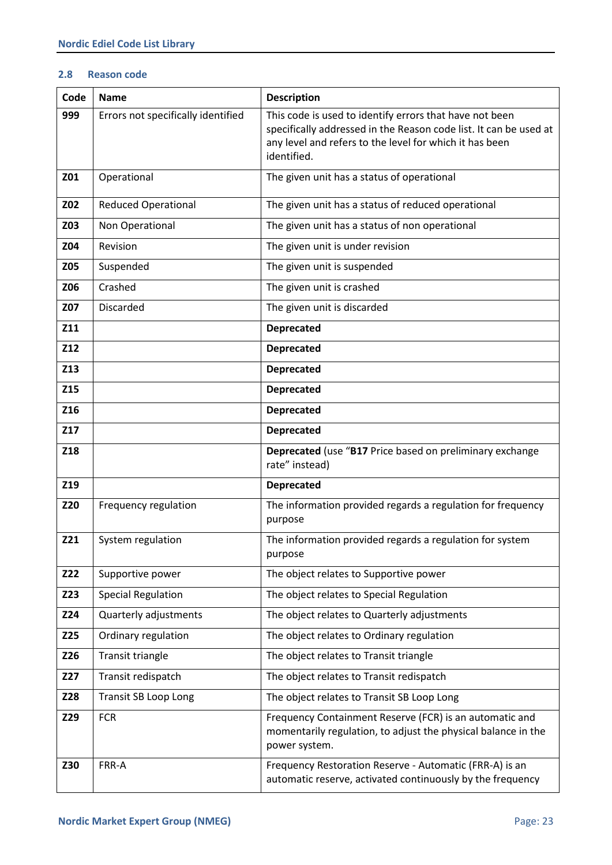### <span id="page-22-0"></span>**2.8 Reason code**

| Code       | <b>Name</b>                        | <b>Description</b>                                                                                                                                                                                     |
|------------|------------------------------------|--------------------------------------------------------------------------------------------------------------------------------------------------------------------------------------------------------|
| 999        | Errors not specifically identified | This code is used to identify errors that have not been<br>specifically addressed in the Reason code list. It can be used at<br>any level and refers to the level for which it has been<br>identified. |
| Z01        | Operational                        | The given unit has a status of operational                                                                                                                                                             |
| <b>Z02</b> | <b>Reduced Operational</b>         | The given unit has a status of reduced operational                                                                                                                                                     |
| <b>Z03</b> | Non Operational                    | The given unit has a status of non operational                                                                                                                                                         |
| <b>Z04</b> | Revision                           | The given unit is under revision                                                                                                                                                                       |
| <b>Z05</b> | Suspended                          | The given unit is suspended                                                                                                                                                                            |
| <b>Z06</b> | Crashed                            | The given unit is crashed                                                                                                                                                                              |
| Z07        | Discarded                          | The given unit is discarded                                                                                                                                                                            |
| Z11        |                                    | <b>Deprecated</b>                                                                                                                                                                                      |
| Z12        |                                    | <b>Deprecated</b>                                                                                                                                                                                      |
| Z13        |                                    | <b>Deprecated</b>                                                                                                                                                                                      |
| Z15        |                                    | <b>Deprecated</b>                                                                                                                                                                                      |
| Z16        |                                    | <b>Deprecated</b>                                                                                                                                                                                      |
| Z17        |                                    | <b>Deprecated</b>                                                                                                                                                                                      |
| Z18        |                                    | Deprecated (use "B17 Price based on preliminary exchange<br>rate" instead)                                                                                                                             |
| Z19        |                                    | <b>Deprecated</b>                                                                                                                                                                                      |
| <b>Z20</b> | Frequency regulation               | The information provided regards a regulation for frequency<br>purpose                                                                                                                                 |
| Z21        | System regulation                  | The information provided regards a regulation for system<br>purpose                                                                                                                                    |
| Z22        | Supportive power                   | The object relates to Supportive power                                                                                                                                                                 |
| Z23        | <b>Special Regulation</b>          | The object relates to Special Regulation                                                                                                                                                               |
| Z24        | Quarterly adjustments              | The object relates to Quarterly adjustments                                                                                                                                                            |
| <b>Z25</b> | Ordinary regulation                | The object relates to Ordinary regulation                                                                                                                                                              |
| Z26        | Transit triangle                   | The object relates to Transit triangle                                                                                                                                                                 |
| <b>Z27</b> | Transit redispatch                 | The object relates to Transit redispatch                                                                                                                                                               |
| <b>Z28</b> | <b>Transit SB Loop Long</b>        | The object relates to Transit SB Loop Long                                                                                                                                                             |
| <b>Z29</b> | <b>FCR</b>                         | Frequency Containment Reserve (FCR) is an automatic and<br>momentarily regulation, to adjust the physical balance in the<br>power system.                                                              |
| <b>Z30</b> | FRR-A                              | Frequency Restoration Reserve - Automatic (FRR-A) is an<br>automatic reserve, activated continuously by the frequency                                                                                  |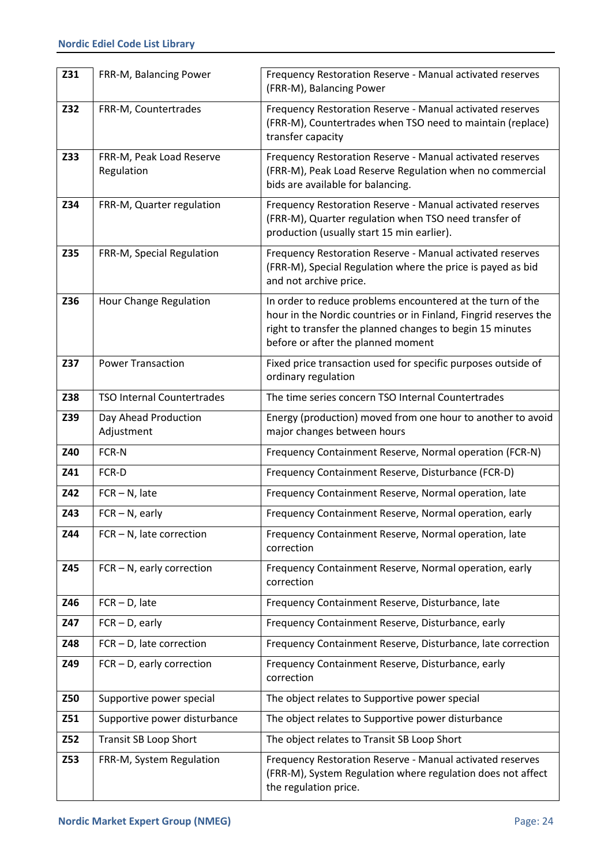| Z31        | FRR-M, Balancing Power                 | Frequency Restoration Reserve - Manual activated reserves<br>(FRR-M), Balancing Power                                                                                                                                             |
|------------|----------------------------------------|-----------------------------------------------------------------------------------------------------------------------------------------------------------------------------------------------------------------------------------|
| Z32        | FRR-M, Countertrades                   | Frequency Restoration Reserve - Manual activated reserves<br>(FRR-M), Countertrades when TSO need to maintain (replace)<br>transfer capacity                                                                                      |
| Z33        | FRR-M, Peak Load Reserve<br>Regulation | Frequency Restoration Reserve - Manual activated reserves<br>(FRR-M), Peak Load Reserve Regulation when no commercial<br>bids are available for balancing.                                                                        |
| Z34        | FRR-M, Quarter regulation              | Frequency Restoration Reserve - Manual activated reserves<br>(FRR-M), Quarter regulation when TSO need transfer of<br>production (usually start 15 min earlier).                                                                  |
| Z35        | FRR-M, Special Regulation              | Frequency Restoration Reserve - Manual activated reserves<br>(FRR-M), Special Regulation where the price is payed as bid<br>and not archive price.                                                                                |
| Z36        | Hour Change Regulation                 | In order to reduce problems encountered at the turn of the<br>hour in the Nordic countries or in Finland, Fingrid reserves the<br>right to transfer the planned changes to begin 15 minutes<br>before or after the planned moment |
| Z37        | <b>Power Transaction</b>               | Fixed price transaction used for specific purposes outside of<br>ordinary regulation                                                                                                                                              |
| Z38        | <b>TSO Internal Countertrades</b>      | The time series concern TSO Internal Countertrades                                                                                                                                                                                |
| Z39        | Day Ahead Production<br>Adjustment     | Energy (production) moved from one hour to another to avoid<br>major changes between hours                                                                                                                                        |
| <b>Z40</b> | FCR-N                                  | Frequency Containment Reserve, Normal operation (FCR-N)                                                                                                                                                                           |
| Z41        | FCR-D                                  | Frequency Containment Reserve, Disturbance (FCR-D)                                                                                                                                                                                |
| Z42        | $FCR - N$ , late                       | Frequency Containment Reserve, Normal operation, late                                                                                                                                                                             |
| Z43        | $FCR - N$ , early                      | Frequency Containment Reserve, Normal operation, early                                                                                                                                                                            |
| Z44        | FCR - N, late correction               | Frequency Containment Reserve, Normal operation, late<br>correction                                                                                                                                                               |
| Z45        | FCR - N, early correction              | Frequency Containment Reserve, Normal operation, early<br>correction                                                                                                                                                              |
| Z46        | $FCR - D$ , late                       | Frequency Containment Reserve, Disturbance, late                                                                                                                                                                                  |
| Z47        | $FCR - D$ , early                      | Frequency Containment Reserve, Disturbance, early                                                                                                                                                                                 |
| Z48        | FCR-D, late correction                 | Frequency Containment Reserve, Disturbance, late correction                                                                                                                                                                       |
| Z49        | FCR - D, early correction              | Frequency Containment Reserve, Disturbance, early<br>correction                                                                                                                                                                   |
| <b>Z50</b> | Supportive power special               | The object relates to Supportive power special                                                                                                                                                                                    |
| Z51        | Supportive power disturbance           | The object relates to Supportive power disturbance                                                                                                                                                                                |
| Z52        | <b>Transit SB Loop Short</b>           | The object relates to Transit SB Loop Short                                                                                                                                                                                       |
| Z53        | FRR-M, System Regulation               | Frequency Restoration Reserve - Manual activated reserves<br>(FRR-M), System Regulation where regulation does not affect<br>the regulation price.                                                                                 |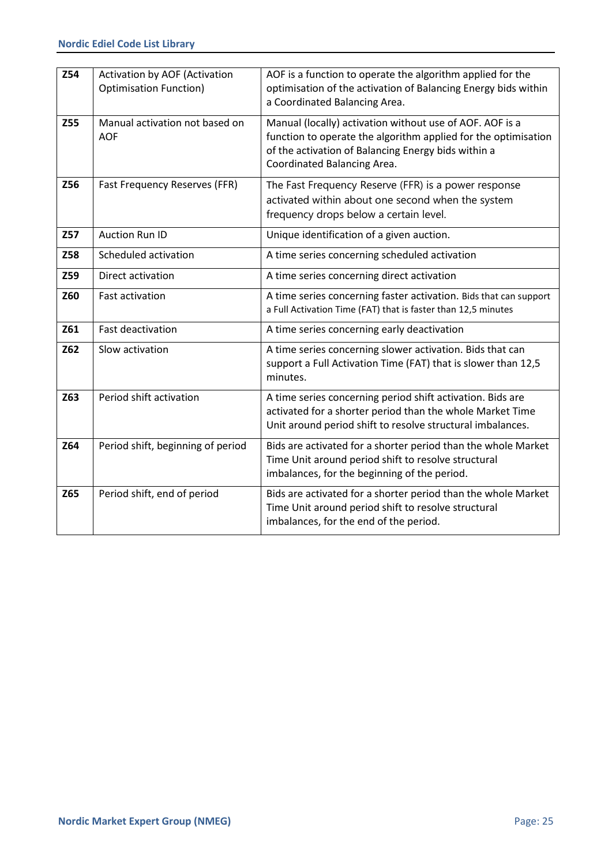| Z54        | Activation by AOF (Activation<br><b>Optimisation Function)</b> | AOF is a function to operate the algorithm applied for the<br>optimisation of the activation of Balancing Energy bids within<br>a Coordinated Balancing Area.                                                    |
|------------|----------------------------------------------------------------|------------------------------------------------------------------------------------------------------------------------------------------------------------------------------------------------------------------|
| Z55        | Manual activation not based on<br><b>AOF</b>                   | Manual (locally) activation without use of AOF. AOF is a<br>function to operate the algorithm applied for the optimisation<br>of the activation of Balancing Energy bids within a<br>Coordinated Balancing Area. |
| Z56        | Fast Frequency Reserves (FFR)                                  | The Fast Frequency Reserve (FFR) is a power response<br>activated within about one second when the system<br>frequency drops below a certain level.                                                              |
| Z57        | <b>Auction Run ID</b>                                          | Unique identification of a given auction.                                                                                                                                                                        |
| Z58        | Scheduled activation                                           | A time series concerning scheduled activation                                                                                                                                                                    |
| Z59        | Direct activation                                              | A time series concerning direct activation                                                                                                                                                                       |
| <b>Z60</b> | Fast activation                                                | A time series concerning faster activation. Bids that can support<br>a Full Activation Time (FAT) that is faster than 12,5 minutes                                                                               |
| Z61        | Fast deactivation                                              | A time series concerning early deactivation                                                                                                                                                                      |
| Z62        | Slow activation                                                | A time series concerning slower activation. Bids that can<br>support a Full Activation Time (FAT) that is slower than 12,5<br>minutes.                                                                           |
| Z63        | Period shift activation                                        | A time series concerning period shift activation. Bids are<br>activated for a shorter period than the whole Market Time<br>Unit around period shift to resolve structural imbalances.                            |
| <b>Z64</b> | Period shift, beginning of period                              | Bids are activated for a shorter period than the whole Market<br>Time Unit around period shift to resolve structural<br>imbalances, for the beginning of the period.                                             |
| Z65        | Period shift, end of period                                    | Bids are activated for a shorter period than the whole Market<br>Time Unit around period shift to resolve structural<br>imbalances, for the end of the period.                                                   |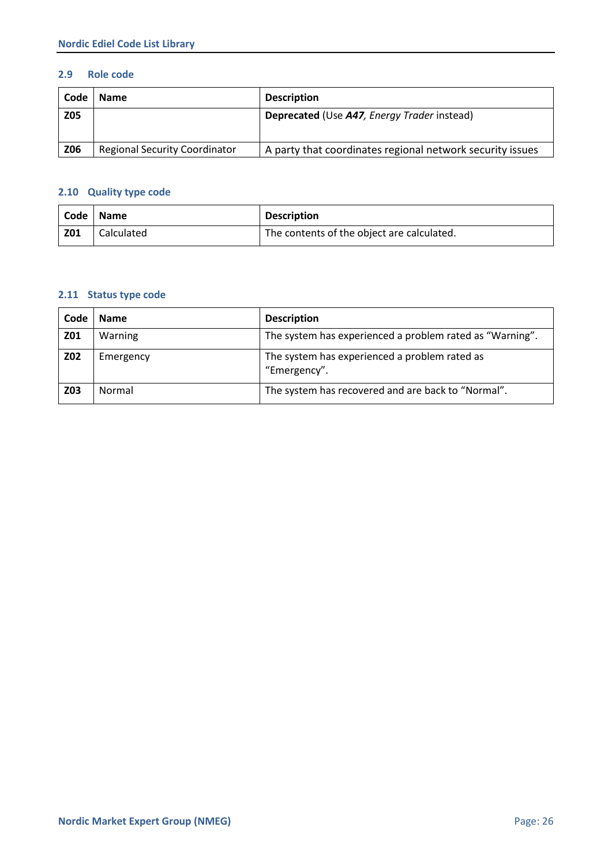#### <span id="page-25-0"></span>**2.9 Role code**

| Code       | <b>Name</b>                          | <b>Description</b>                                        |
|------------|--------------------------------------|-----------------------------------------------------------|
| <b>Z05</b> |                                      | <b>Deprecated (Use A47, Energy Trader instead)</b>        |
| <b>Z06</b> | <b>Regional Security Coordinator</b> | A party that coordinates regional network security issues |

## <span id="page-25-1"></span>**2.10 Quality type code**

|            | Code Name  | <b>Description</b>                         |
|------------|------------|--------------------------------------------|
| <b>Z01</b> | Calculated | The contents of the object are calculated. |

## <span id="page-25-2"></span>**2.11 Status type code**

| Code       | <b>Name</b> | <b>Description</b>                                            |
|------------|-------------|---------------------------------------------------------------|
| Z01        | Warning     | The system has experienced a problem rated as "Warning".      |
| <b>Z02</b> | Emergency   | The system has experienced a problem rated as<br>"Emergency". |
| <b>Z03</b> | Normal      | The system has recovered and are back to "Normal".            |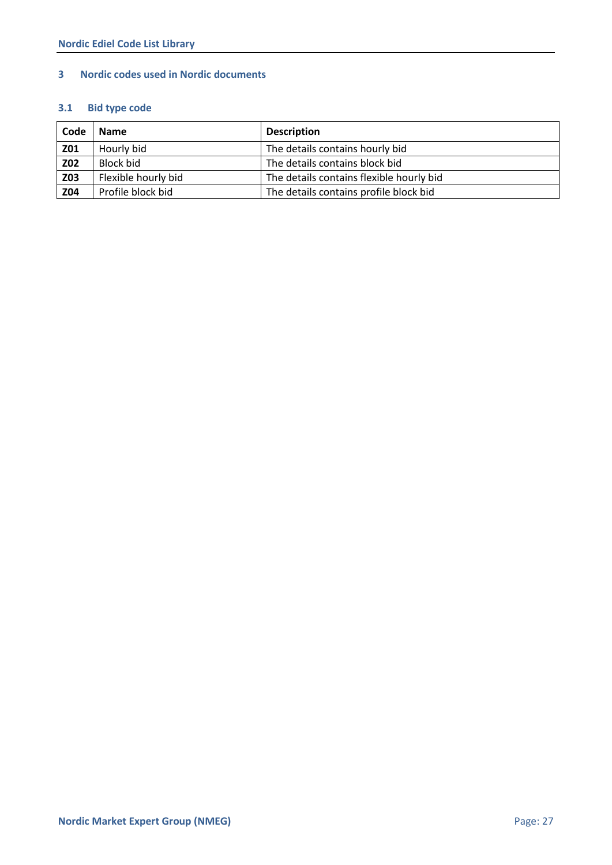#### <span id="page-26-0"></span>**3 Nordic codes used in Nordic documents**

### <span id="page-26-1"></span>**3.1 Bid type code**

| Code       | <b>Name</b>         | <b>Description</b>                       |
|------------|---------------------|------------------------------------------|
| Z01        | Hourly bid          | The details contains hourly bid          |
| <b>Z02</b> | <b>Block bid</b>    | The details contains block bid           |
| Z03        | Flexible hourly bid | The details contains flexible hourly bid |
| <b>Z04</b> | Profile block bid   | The details contains profile block bid   |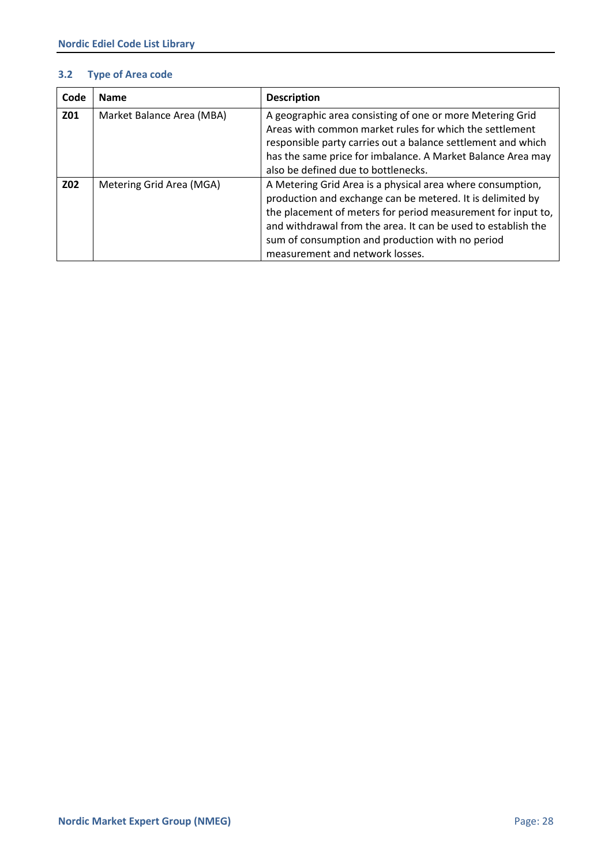## <span id="page-27-0"></span>**3.2 Type of Area code**

| Code       | <b>Name</b>               | <b>Description</b>                                                                                                                                                                                                                                                                                                                               |
|------------|---------------------------|--------------------------------------------------------------------------------------------------------------------------------------------------------------------------------------------------------------------------------------------------------------------------------------------------------------------------------------------------|
| Z01        | Market Balance Area (MBA) | A geographic area consisting of one or more Metering Grid<br>Areas with common market rules for which the settlement<br>responsible party carries out a balance settlement and which<br>has the same price for imbalance. A Market Balance Area may<br>also be defined due to bottlenecks.                                                       |
| <b>Z02</b> | Metering Grid Area (MGA)  | A Metering Grid Area is a physical area where consumption,<br>production and exchange can be metered. It is delimited by<br>the placement of meters for period measurement for input to,<br>and withdrawal from the area. It can be used to establish the<br>sum of consumption and production with no period<br>measurement and network losses. |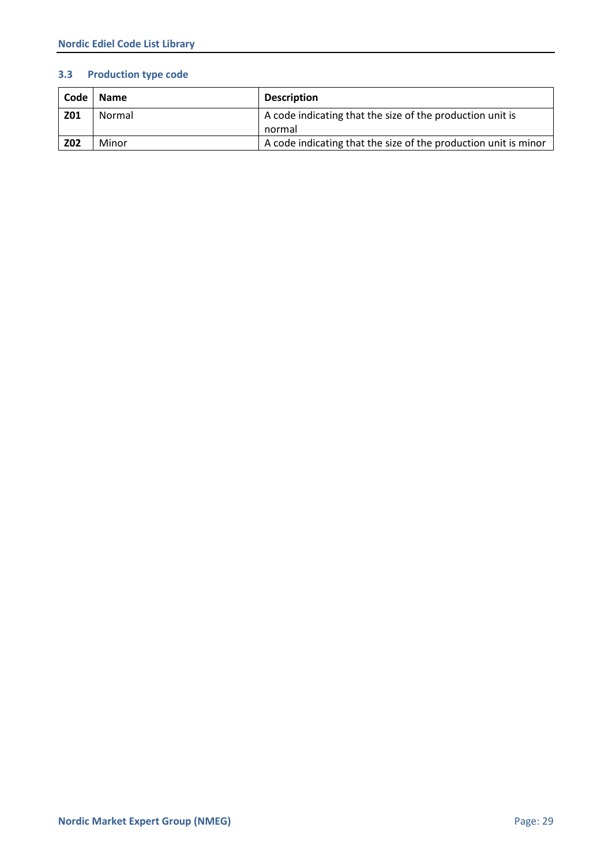## <span id="page-28-0"></span>**3.3 Production type code**

| Code       | <b>Name</b> | <b>Description</b>                                                  |
|------------|-------------|---------------------------------------------------------------------|
| Z01        | Normal      | A code indicating that the size of the production unit is<br>normal |
| <b>Z02</b> | Minor       | A code indicating that the size of the production unit is minor     |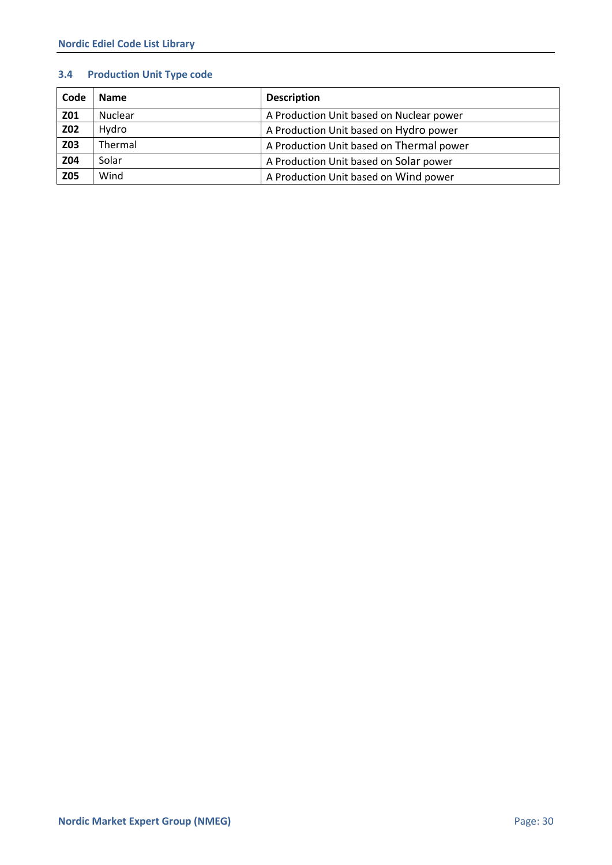## <span id="page-29-0"></span>**3.4 Production Unit Type code**

| Code       | <b>Name</b>    | <b>Description</b>                       |
|------------|----------------|------------------------------------------|
| Z01        | <b>Nuclear</b> | A Production Unit based on Nuclear power |
| Z02        | Hydro          | A Production Unit based on Hydro power   |
| <b>Z03</b> | Thermal        | A Production Unit based on Thermal power |
| <b>Z04</b> | Solar          | A Production Unit based on Solar power   |
| <b>Z05</b> | Wind           | A Production Unit based on Wind power    |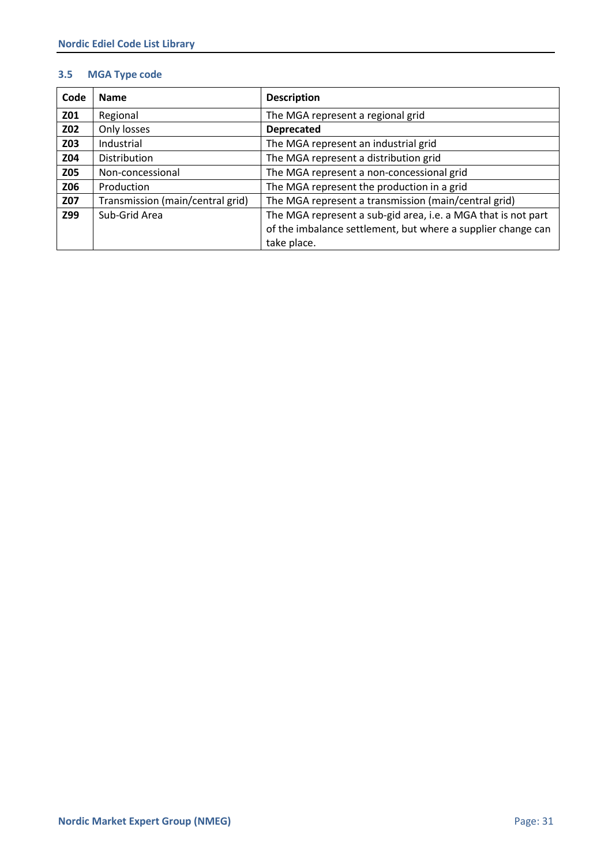## <span id="page-30-0"></span>**3.5 MGA Type code**

| Code       | <b>Name</b>                      | <b>Description</b>                                            |
|------------|----------------------------------|---------------------------------------------------------------|
| Z01        | Regional                         | The MGA represent a regional grid                             |
| <b>Z02</b> | Only losses                      | <b>Deprecated</b>                                             |
| <b>Z03</b> | Industrial                       | The MGA represent an industrial grid                          |
| <b>Z04</b> | Distribution                     | The MGA represent a distribution grid                         |
| <b>Z05</b> | Non-concessional                 | The MGA represent a non-concessional grid                     |
| <b>Z06</b> | Production                       | The MGA represent the production in a grid                    |
| <b>Z07</b> | Transmission (main/central grid) | The MGA represent a transmission (main/central grid)          |
| <b>Z99</b> | Sub-Grid Area                    | The MGA represent a sub-gid area, i.e. a MGA that is not part |
|            |                                  | of the imbalance settlement, but where a supplier change can  |
|            |                                  | take place.                                                   |